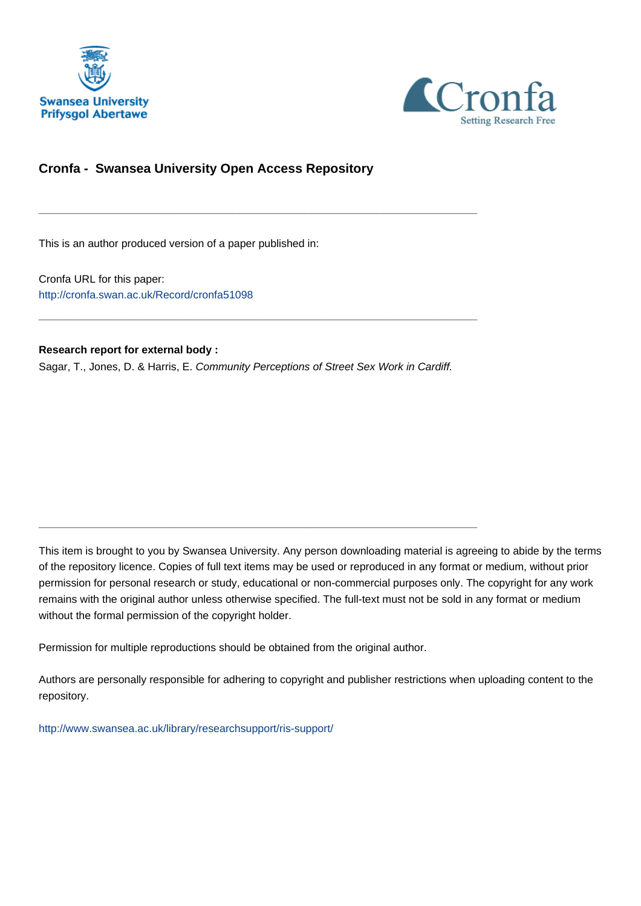



#### **Cronfa - Swansea University Open Access Repository**

This is an author produced version of a paper published in:

Cronfa URL for this paper: <http://cronfa.swan.ac.uk/Record/cronfa51098>

**Research report for external body :**

Sagar, T., Jones, D. & Harris, E. Community Perceptions of Street Sex Work in Cardiff.

\_\_\_\_\_\_\_\_\_\_\_\_\_\_\_\_\_\_\_\_\_\_\_\_\_\_\_\_\_\_\_\_\_\_\_\_\_\_\_\_\_\_\_\_\_\_\_\_\_\_\_\_\_\_\_\_\_\_\_\_\_

\_\_\_\_\_\_\_\_\_\_\_\_\_\_\_\_\_\_\_\_\_\_\_\_\_\_\_\_\_\_\_\_\_\_\_\_\_\_\_\_\_\_\_\_\_\_\_\_\_\_\_\_\_\_\_\_\_\_\_\_\_

 $\_$  , and the set of the set of the set of the set of the set of the set of the set of the set of the set of the set of the set of the set of the set of the set of the set of the set of the set of the set of the set of th

This item is brought to you by Swansea University. Any person downloading material is agreeing to abide by the terms of the repository licence. Copies of full text items may be used or reproduced in any format or medium, without prior permission for personal research or study, educational or non-commercial purposes only. The copyright for any work remains with the original author unless otherwise specified. The full-text must not be sold in any format or medium without the formal permission of the copyright holder.

Permission for multiple reproductions should be obtained from the original author.

Authors are personally responsible for adhering to copyright and publisher restrictions when uploading content to the repository.

[http://www.swansea.ac.uk/library/researchsupport/ris-support/](http://www.swansea.ac.uk/library/researchsupport/ris-support/ )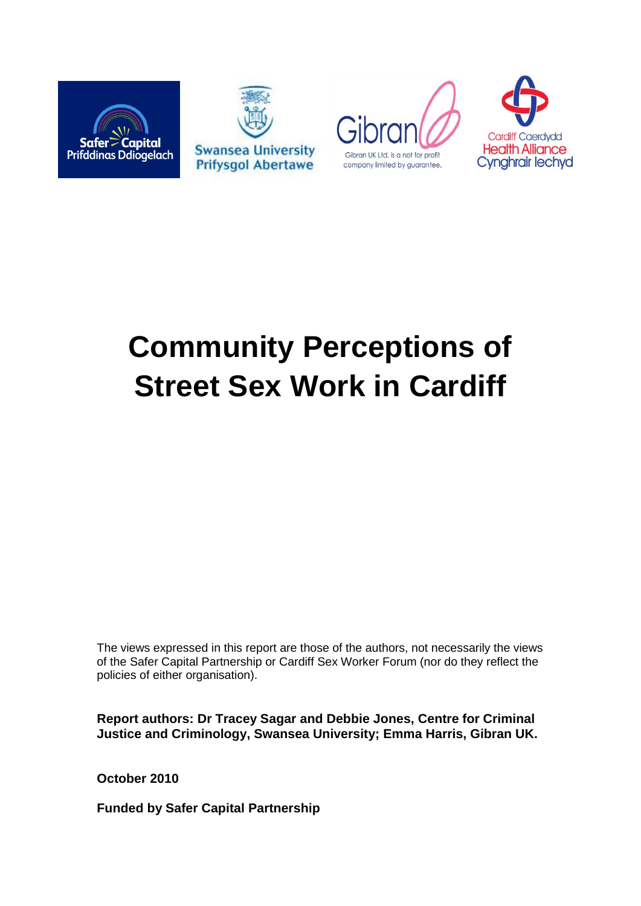







# **Community Perceptions of Street Sex Work in Cardiff**

The views expressed in this report are those of the authors, not necessarily the views of the Safer Capital Partnership or Cardiff Sex Worker Forum (nor do they reflect the policies of either organisation).

**Report authors: Dr Tracey Sagar and Debbie Jones, Centre for Criminal Justice and Criminology, Swansea University; Emma Harris, Gibran UK.** 

**October 2010**

**Funded by Safer Capital Partnership**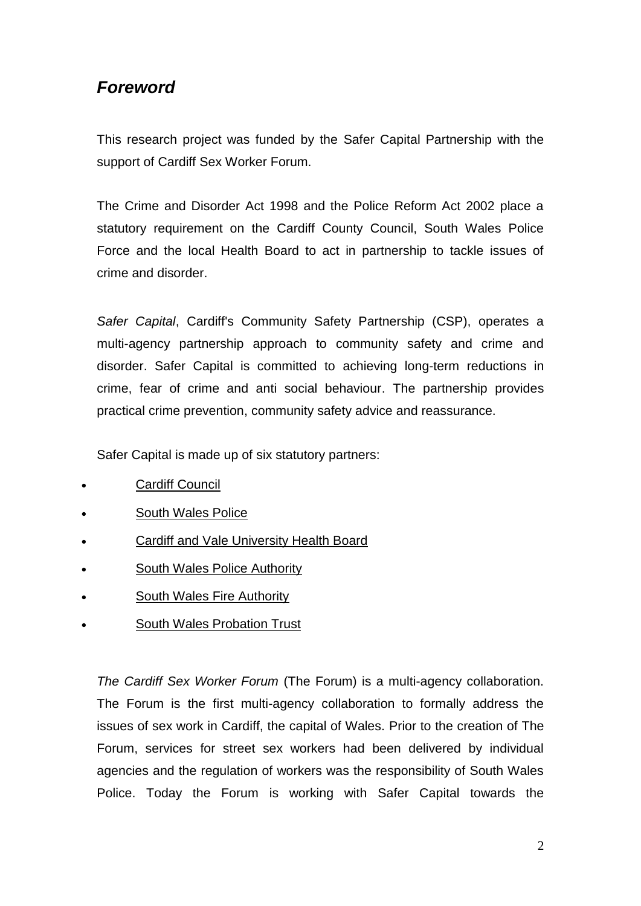# *Foreword*

This research project was funded by the Safer Capital Partnership with the support of Cardiff Sex Worker Forum.

The Crime and Disorder Act 1998 and the Police Reform Act 2002 place a statutory requirement on the Cardiff County Council, South Wales Police Force and the local Health Board to act in partnership to tackle issues of crime and disorder.

*Safer Capital*, Cardiff's Community Safety Partnership (CSP), operates a multi-agency partnership approach to community safety and crime and disorder. Safer Capital is committed to achieving long-term reductions in crime, fear of crime and anti social behaviour. The partnership provides practical crime prevention, community safety advice and reassurance.

Safer Capital is made up of six statutory partners:

- Cardiff Council
- South Wales Police
- Cardiff and Vale University Health Board
- South Wales Police Authority
- South Wales Fire Authority
- South Wales Probation Trust

*The Cardiff Sex Worker Forum* (The Forum) is a multi-agency collaboration. The Forum is the first multi-agency collaboration to formally address the issues of sex work in Cardiff, the capital of Wales. Prior to the creation of The Forum, services for street sex workers had been delivered by individual agencies and the regulation of workers was the responsibility of South Wales Police. Today the Forum is working with Safer Capital towards the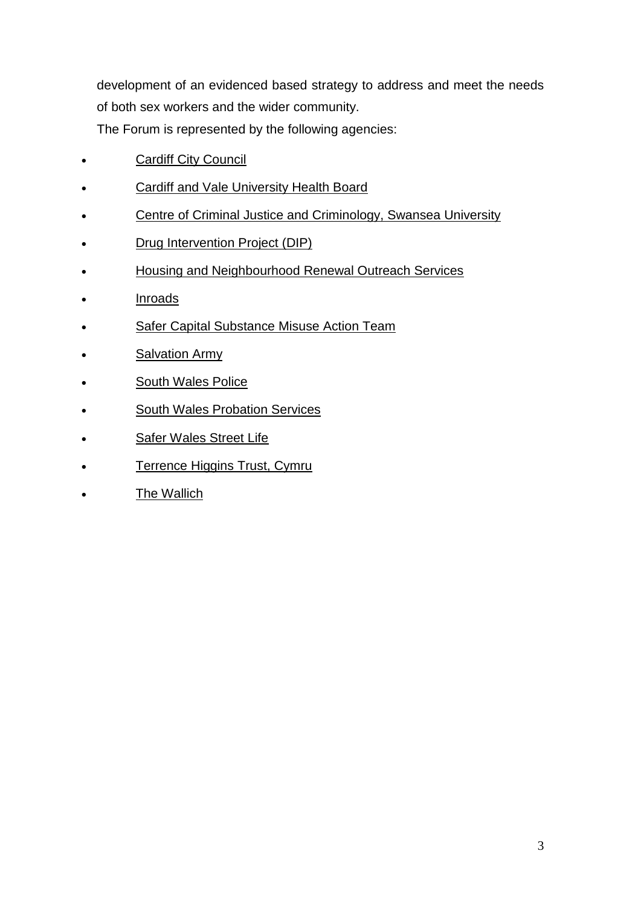development of an evidenced based strategy to address and meet the needs of both sex workers and the wider community.

The Forum is represented by the following agencies:

- Cardiff City Council
- Cardiff and Vale University Health Board
- Centre of Criminal Justice and Criminology, Swansea University
- Drug Intervention Project (DIP)
- Housing and Neighbourhood Renewal Outreach Services
- **Inroads**
- Safer Capital Substance Misuse Action Team
- **Salvation Army**
- South Wales Police
- South Wales Probation Services
- Safer Wales Street Life
- Terrence Higgins Trust, Cymru
- The Wallich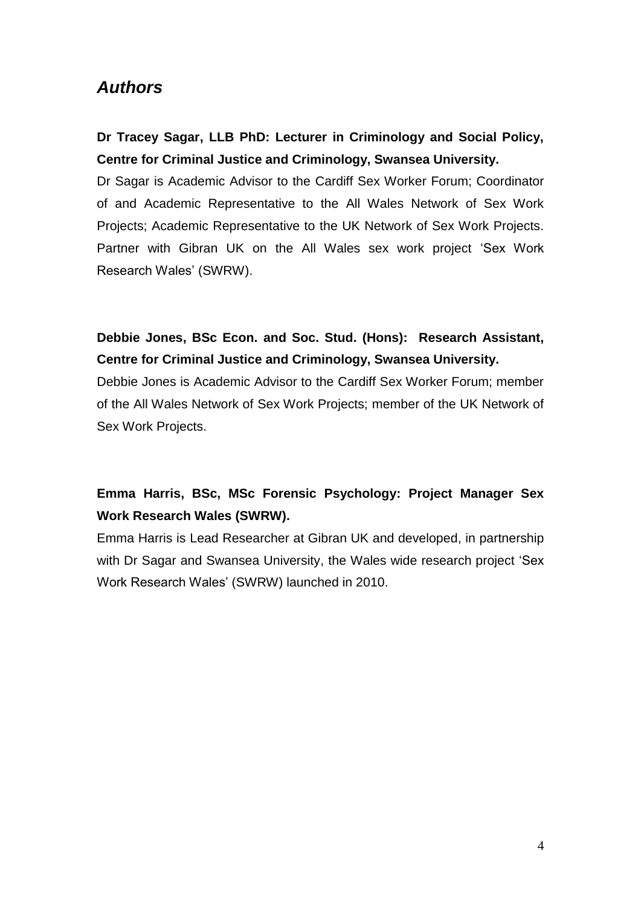## *Authors*

## **Dr Tracey Sagar, LLB PhD: Lecturer in Criminology and Social Policy, Centre for Criminal Justice and Criminology, Swansea University.**

Dr Sagar is Academic Advisor to the Cardiff Sex Worker Forum; Coordinator of and Academic Representative to the All Wales Network of Sex Work Projects; Academic Representative to the UK Network of Sex Work Projects. Partner with Gibran UK on the All Wales sex work project "Sex Work Research Wales" (SWRW).

## **Debbie Jones, BSc Econ. and Soc. Stud. (Hons): Research Assistant, Centre for Criminal Justice and Criminology, Swansea University.**

Debbie Jones is Academic Advisor to the Cardiff Sex Worker Forum; member of the All Wales Network of Sex Work Projects; member of the UK Network of Sex Work Projects.

## **Emma Harris, BSc, MSc Forensic Psychology: Project Manager Sex Work Research Wales (SWRW).**

Emma Harris is Lead Researcher at Gibran UK and developed, in partnership with Dr Sagar and Swansea University, the Wales wide research project "Sex Work Research Wales" (SWRW) launched in 2010.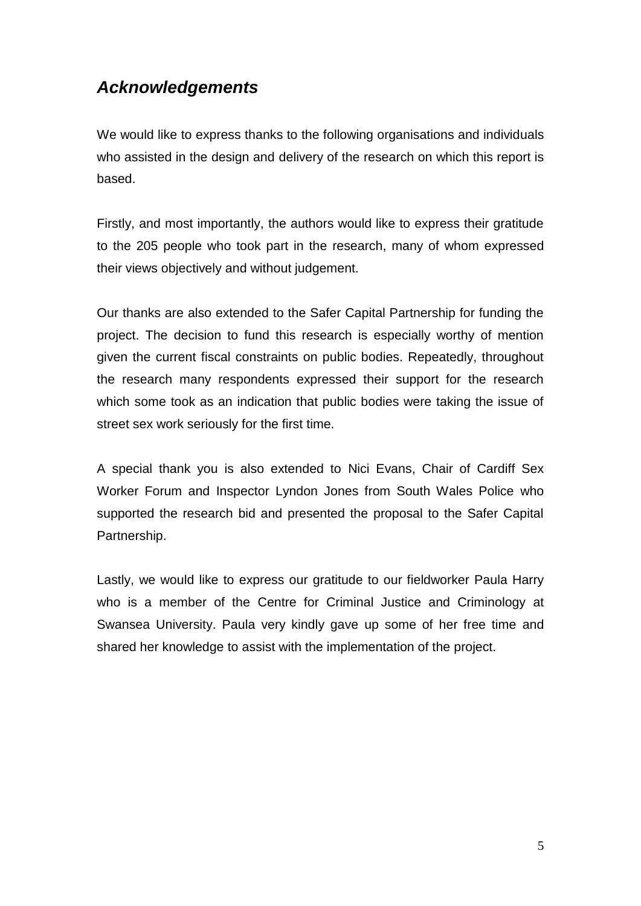# *Acknowledgements*

We would like to express thanks to the following organisations and individuals who assisted in the design and delivery of the research on which this report is based.

Firstly, and most importantly, the authors would like to express their gratitude to the 205 people who took part in the research, many of whom expressed their views objectively and without judgement.

Our thanks are also extended to the Safer Capital Partnership for funding the project. The decision to fund this research is especially worthy of mention given the current fiscal constraints on public bodies. Repeatedly, throughout the research many respondents expressed their support for the research which some took as an indication that public bodies were taking the issue of street sex work seriously for the first time.

A special thank you is also extended to Nici Evans, Chair of Cardiff Sex Worker Forum and Inspector Lyndon Jones from South Wales Police who supported the research bid and presented the proposal to the Safer Capital Partnership.

Lastly, we would like to express our gratitude to our fieldworker Paula Harry who is a member of the Centre for Criminal Justice and Criminology at Swansea University. Paula very kindly gave up some of her free time and shared her knowledge to assist with the implementation of the project.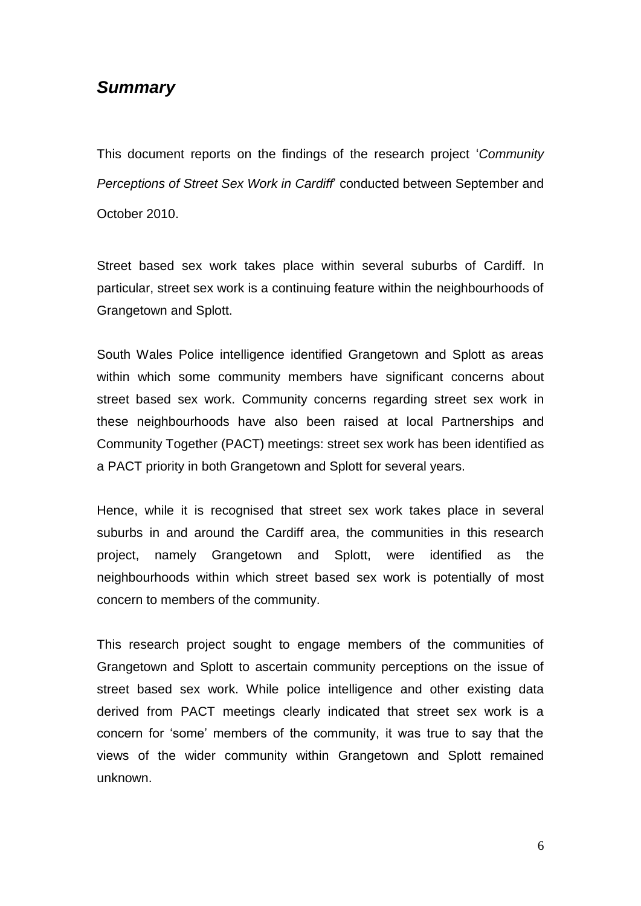## *Summary*

This document reports on the findings of the research project "*Community Perceptions of Street Sex Work in Cardiff*" conducted between September and October 2010.

Street based sex work takes place within several suburbs of Cardiff. In particular, street sex work is a continuing feature within the neighbourhoods of Grangetown and Splott.

South Wales Police intelligence identified Grangetown and Splott as areas within which some community members have significant concerns about street based sex work. Community concerns regarding street sex work in these neighbourhoods have also been raised at local Partnerships and Community Together (PACT) meetings: street sex work has been identified as a PACT priority in both Grangetown and Splott for several years.

Hence, while it is recognised that street sex work takes place in several suburbs in and around the Cardiff area, the communities in this research project, namely Grangetown and Splott, were identified as the neighbourhoods within which street based sex work is potentially of most concern to members of the community.

This research project sought to engage members of the communities of Grangetown and Splott to ascertain community perceptions on the issue of street based sex work. While police intelligence and other existing data derived from PACT meetings clearly indicated that street sex work is a concern for "some" members of the community, it was true to say that the views of the wider community within Grangetown and Splott remained unknown.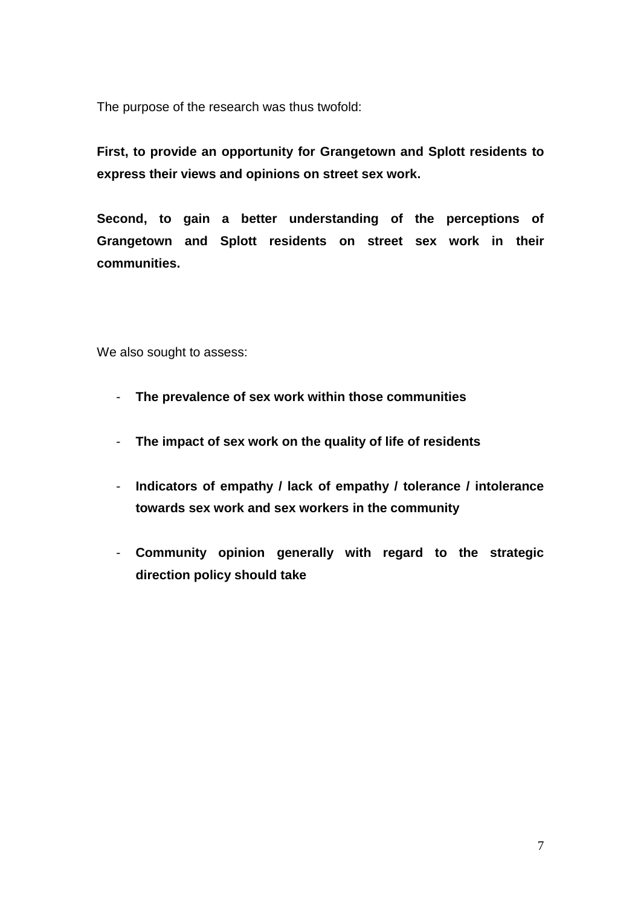The purpose of the research was thus twofold:

**First, to provide an opportunity for Grangetown and Splott residents to express their views and opinions on street sex work.**

**Second, to gain a better understanding of the perceptions of Grangetown and Splott residents on street sex work in their communities.** 

We also sought to assess:

- **The prevalence of sex work within those communities**
- **The impact of sex work on the quality of life of residents**
- **Indicators of empathy / lack of empathy / tolerance / intolerance towards sex work and sex workers in the community**
- **Community opinion generally with regard to the strategic direction policy should take**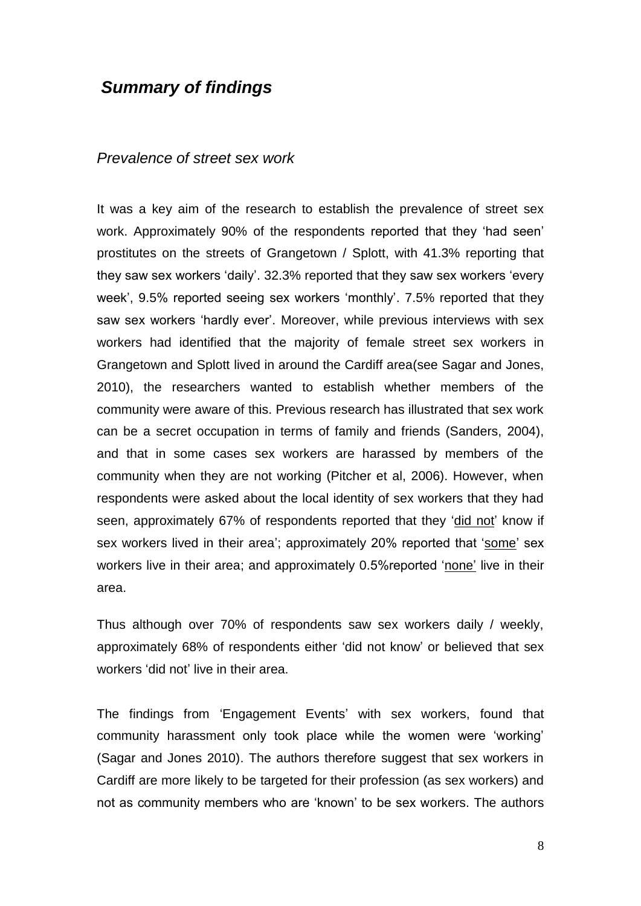## *Summary of findings*

#### *Prevalence of street sex work*

It was a key aim of the research to establish the prevalence of street sex work. Approximately 90% of the respondents reported that they "had seen" prostitutes on the streets of Grangetown / Splott, with 41.3% reporting that they saw sex workers "daily". 32.3% reported that they saw sex workers "every week', 9.5% reported seeing sex workers 'monthly'. 7.5% reported that they saw sex workers 'hardly ever'. Moreover, while previous interviews with sex workers had identified that the majority of female street sex workers in Grangetown and Splott lived in around the Cardiff area(see Sagar and Jones, 2010), the researchers wanted to establish whether members of the community were aware of this. Previous research has illustrated that sex work can be a secret occupation in terms of family and friends (Sanders, 2004), and that in some cases sex workers are harassed by members of the community when they are not working (Pitcher et al, 2006). However, when respondents were asked about the local identity of sex workers that they had seen, approximately 67% of respondents reported that they 'did not' know if sex workers lived in their area'; approximately 20% reported that 'some' sex workers live in their area; and approximately 0.5% reported 'none' live in their area.

Thus although over 70% of respondents saw sex workers daily / weekly, approximately 68% of respondents either "did not know" or believed that sex workers "did not" live in their area.

The findings from "Engagement Events" with sex workers, found that community harassment only took place while the women were "working" (Sagar and Jones 2010). The authors therefore suggest that sex workers in Cardiff are more likely to be targeted for their profession (as sex workers) and not as community members who are "known" to be sex workers. The authors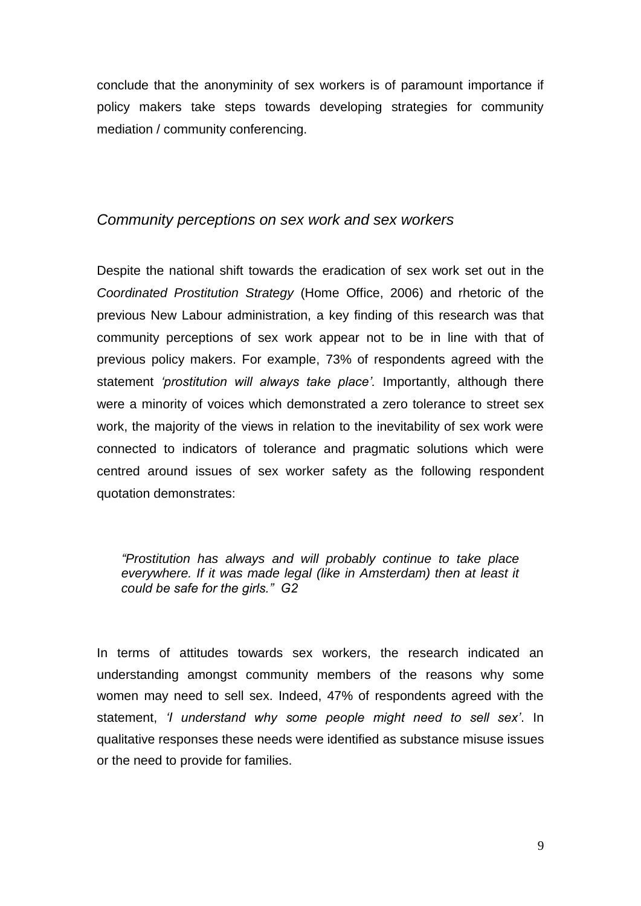conclude that the anonyminity of sex workers is of paramount importance if policy makers take steps towards developing strategies for community mediation / community conferencing.

#### *Community perceptions on sex work and sex workers*

Despite the national shift towards the eradication of sex work set out in the *Coordinated Prostitution Strategy* (Home Office, 2006) and rhetoric of the previous New Labour administration, a key finding of this research was that community perceptions of sex work appear not to be in line with that of previous policy makers. For example, 73% of respondents agreed with the statement *'prostitution will always take place'*. Importantly, although there were a minority of voices which demonstrated a zero tolerance to street sex work, the majority of the views in relation to the inevitability of sex work were connected to indicators of tolerance and pragmatic solutions which were centred around issues of sex worker safety as the following respondent quotation demonstrates:

*"Prostitution has always and will probably continue to take place everywhere. If it was made legal (like in Amsterdam) then at least it could be safe for the girls." G2*

In terms of attitudes towards sex workers, the research indicated an understanding amongst community members of the reasons why some women may need to sell sex. Indeed, 47% of respondents agreed with the statement, *"I understand why some people might need to sell sex"*. In qualitative responses these needs were identified as substance misuse issues or the need to provide for families.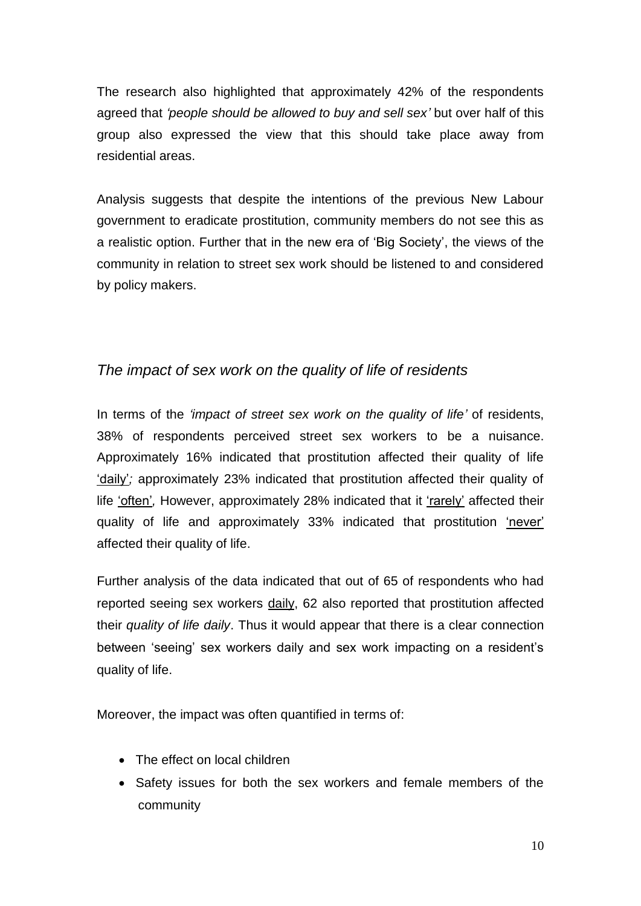The research also highlighted that approximately 42% of the respondents agreed that *"people should be allowed to buy and sell sex"* but over half of this group also expressed the view that this should take place away from residential areas.

Analysis suggests that despite the intentions of the previous New Labour government to eradicate prostitution, community members do not see this as a realistic option. Further that in the new era of "Big Society", the views of the community in relation to street sex work should be listened to and considered by policy makers.

## *The impact of sex work on the quality of life of residents*

In terms of the *"impact of street sex work on the quality of life"* of residents, 38% of respondents perceived street sex workers to be a nuisance. Approximately 16% indicated that prostitution affected their quality of life "daily"*;* approximately 23% indicated that prostitution affected their quality of life "often"*,* However, approximately 28% indicated that it "rarely" affected their quality of life and approximately 33% indicated that prostitution 'never' affected their quality of life.

Further analysis of the data indicated that out of 65 of respondents who had reported seeing sex workers daily, 62 also reported that prostitution affected their *quality of life daily*. Thus it would appear that there is a clear connection between "seeing" sex workers daily and sex work impacting on a resident"s quality of life.

Moreover, the impact was often quantified in terms of:

- The effect on local children
- Safety issues for both the sex workers and female members of the community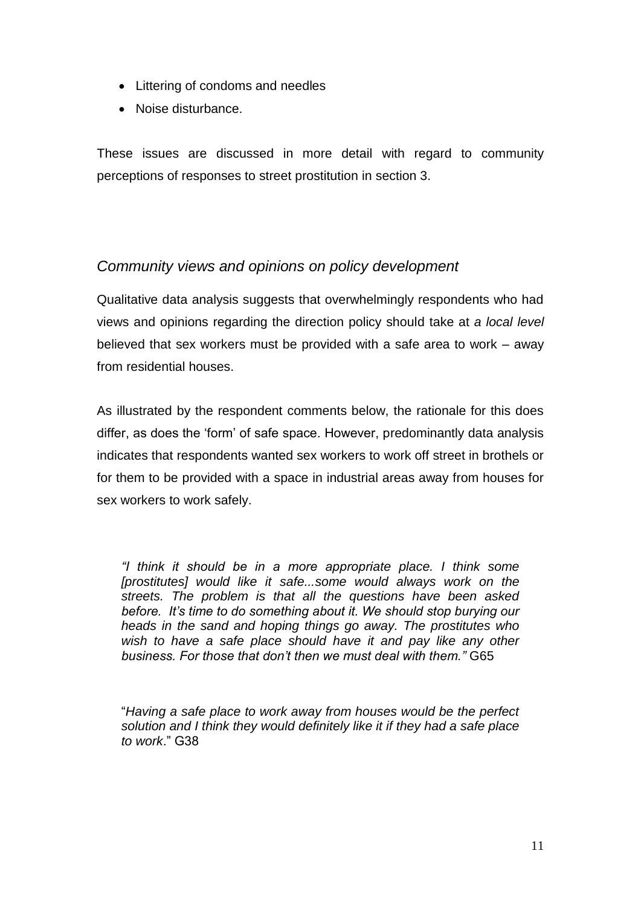- Littering of condoms and needles
- Noise disturbance.

These issues are discussed in more detail with regard to community perceptions of responses to street prostitution in section 3.

## *Community views and opinions on policy development*

Qualitative data analysis suggests that overwhelmingly respondents who had views and opinions regarding the direction policy should take at *a local level* believed that sex workers must be provided with a safe area to work – away from residential houses.

As illustrated by the respondent comments below, the rationale for this does differ, as does the "form" of safe space. However, predominantly data analysis indicates that respondents wanted sex workers to work off street in brothels or for them to be provided with a space in industrial areas away from houses for sex workers to work safely.

*"I think it should be in a more appropriate place. I think some [prostitutes] would like it safe...some would always work on the streets. The problem is that all the questions have been asked before. It"s time to do something about it. We should stop burying our heads in the sand and hoping things go away. The prostitutes who wish to have a safe place should have it and pay like any other business. For those that don"t then we must deal with them."* G65

"*Having a safe place to work away from houses would be the perfect solution and I think they would definitely like it if they had a safe place to work*." G38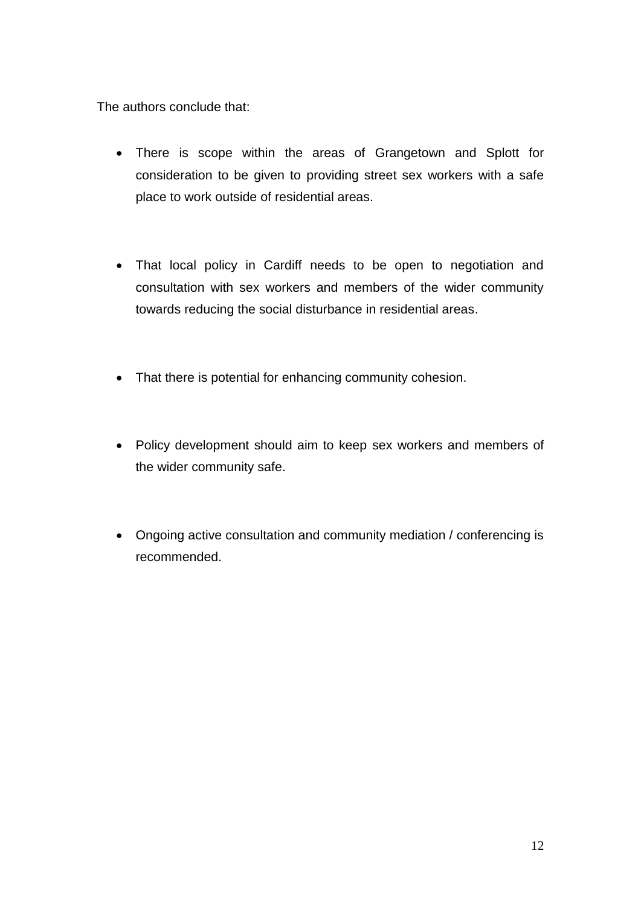The authors conclude that:

- There is scope within the areas of Grangetown and Splott for consideration to be given to providing street sex workers with a safe place to work outside of residential areas.
- That local policy in Cardiff needs to be open to negotiation and consultation with sex workers and members of the wider community towards reducing the social disturbance in residential areas.
- That there is potential for enhancing community cohesion.
- Policy development should aim to keep sex workers and members of the wider community safe.
- Ongoing active consultation and community mediation / conferencing is recommended.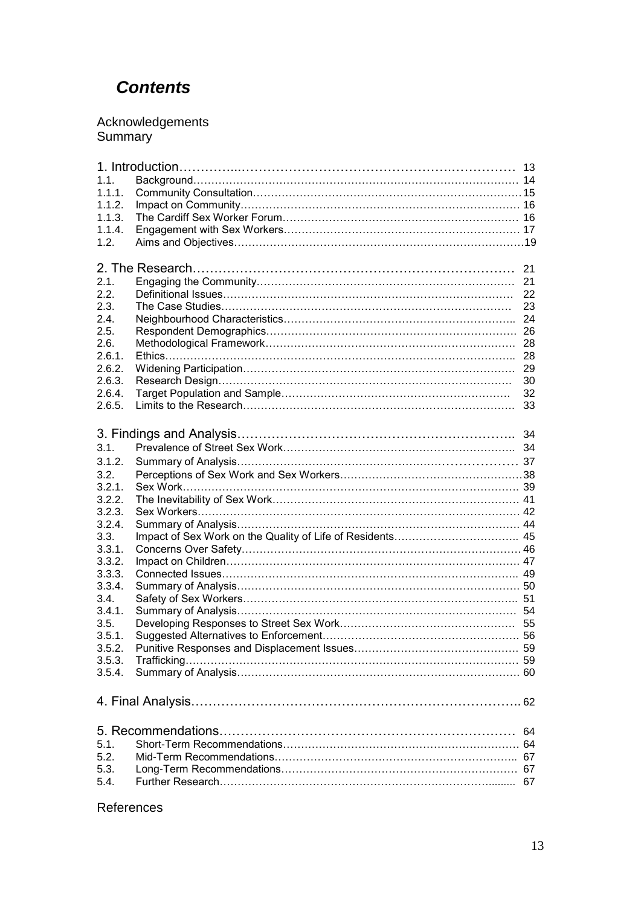# *Contents*

#### Acknowledgements Summary

| 1.1.             |  |    |
|------------------|--|----|
| 1.1.1.           |  |    |
| 1.1.2.           |  |    |
| 1.1.3.           |  |    |
| 1.1.4.           |  |    |
| 1.2.             |  |    |
|                  |  |    |
| 21               |  |    |
| 2.1.             |  | 21 |
| 2.2.             |  | 22 |
| 2.3.             |  | 23 |
| 2.4.             |  |    |
| 2.5.             |  |    |
| 2.6.             |  |    |
| 2.6.1.           |  |    |
| 2.6.2.           |  |    |
| 2.6.3.           |  | 30 |
| 2.6.4.           |  | 32 |
| 2.6.5.           |  | 33 |
|                  |  |    |
|                  |  |    |
| 3.1.             |  |    |
|                  |  |    |
| 3.1.2.           |  |    |
| 3.2.             |  |    |
| 3.2.1.           |  |    |
| 3.2.2.           |  |    |
| 3.2.3.           |  |    |
| 3.2.4.           |  |    |
| 3.3.             |  |    |
| 3.3.1.           |  |    |
| 3.3.2.<br>3.3.3. |  |    |
| 3.3.4.           |  |    |
| 3.4.             |  |    |
| 3.4.1.           |  |    |
| 3.5.             |  |    |
| 3.5.1.           |  |    |
| 3.5.2.           |  |    |
| 3.5.3.           |  |    |
| 3.5.4.           |  |    |
|                  |  |    |
|                  |  |    |
| -64              |  |    |
| 5.1.             |  |    |
| 5.2.             |  |    |
| 5.3.             |  |    |
| 5.4.             |  |    |
|                  |  |    |

#### References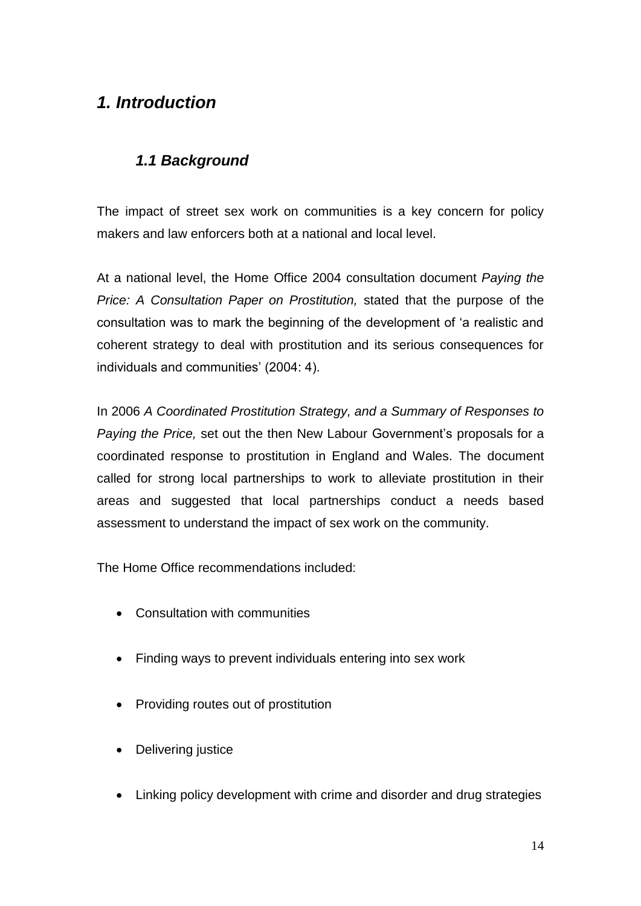# *1. Introduction*

## *1.1 Background*

The impact of street sex work on communities is a key concern for policy makers and law enforcers both at a national and local level.

At a national level, the Home Office 2004 consultation document *Paying the Price: A Consultation Paper on Prostitution,* stated that the purpose of the consultation was to mark the beginning of the development of "a realistic and coherent strategy to deal with prostitution and its serious consequences for individuals and communities' (2004: 4).

In 2006 *A Coordinated Prostitution Strategy, and a Summary of Responses to Paying the Price,* set out the then New Labour Government"s proposals for a coordinated response to prostitution in England and Wales. The document called for strong local partnerships to work to alleviate prostitution in their areas and suggested that local partnerships conduct a needs based assessment to understand the impact of sex work on the community.

The Home Office recommendations included:

- Consultation with communities
- Finding ways to prevent individuals entering into sex work
- Providing routes out of prostitution
- Delivering justice
- Linking policy development with crime and disorder and drug strategies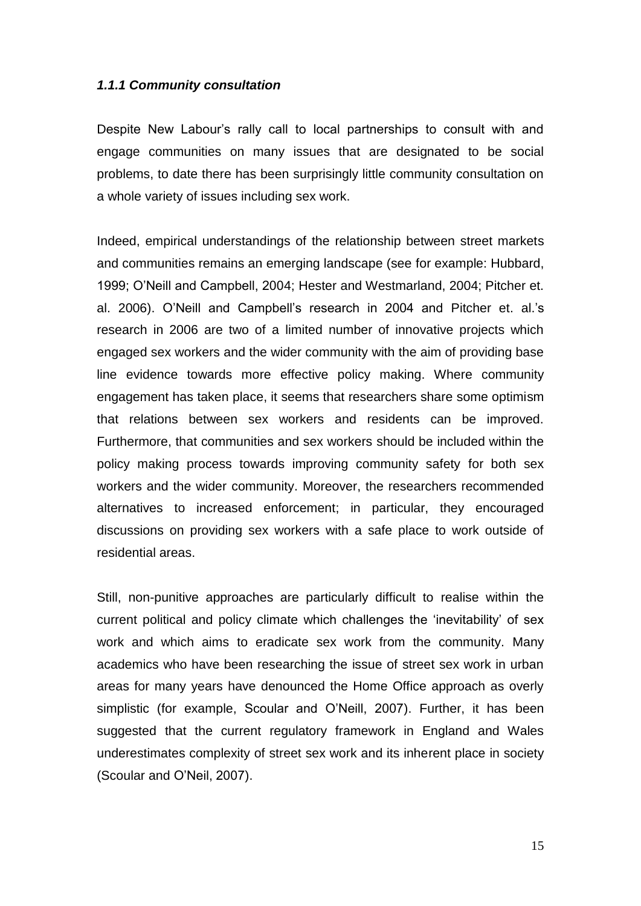#### *1.1.1 Community consultation*

Despite New Labour"s rally call to local partnerships to consult with and engage communities on many issues that are designated to be social problems, to date there has been surprisingly little community consultation on a whole variety of issues including sex work.

Indeed, empirical understandings of the relationship between street markets and communities remains an emerging landscape (see for example: Hubbard, 1999; O"Neill and Campbell, 2004; Hester and Westmarland, 2004; Pitcher et. al. 2006). O"Neill and Campbell"s research in 2004 and Pitcher et. al."s research in 2006 are two of a limited number of innovative projects which engaged sex workers and the wider community with the aim of providing base line evidence towards more effective policy making. Where community engagement has taken place, it seems that researchers share some optimism that relations between sex workers and residents can be improved. Furthermore, that communities and sex workers should be included within the policy making process towards improving community safety for both sex workers and the wider community. Moreover, the researchers recommended alternatives to increased enforcement; in particular, they encouraged discussions on providing sex workers with a safe place to work outside of residential areas.

Still, non-punitive approaches are particularly difficult to realise within the current political and policy climate which challenges the "inevitability" of sex work and which aims to eradicate sex work from the community. Many academics who have been researching the issue of street sex work in urban areas for many years have denounced the Home Office approach as overly simplistic (for example, Scoular and O"Neill, 2007). Further, it has been suggested that the current regulatory framework in England and Wales underestimates complexity of street sex work and its inherent place in society (Scoular and O"Neil, 2007).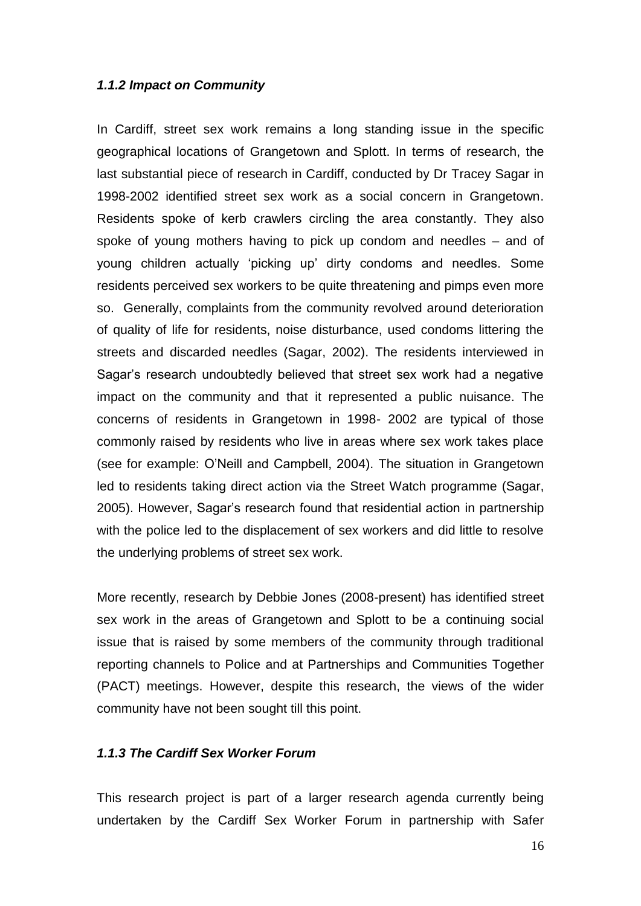#### *1.1.2 Impact on Community*

In Cardiff, street sex work remains a long standing issue in the specific geographical locations of Grangetown and Splott. In terms of research, the last substantial piece of research in Cardiff, conducted by Dr Tracey Sagar in 1998-2002 identified street sex work as a social concern in Grangetown. Residents spoke of kerb crawlers circling the area constantly. They also spoke of young mothers having to pick up condom and needles – and of young children actually "picking up" dirty condoms and needles. Some residents perceived sex workers to be quite threatening and pimps even more so. Generally, complaints from the community revolved around deterioration of quality of life for residents, noise disturbance, used condoms littering the streets and discarded needles (Sagar, 2002). The residents interviewed in Sagar"s research undoubtedly believed that street sex work had a negative impact on the community and that it represented a public nuisance. The concerns of residents in Grangetown in 1998- 2002 are typical of those commonly raised by residents who live in areas where sex work takes place (see for example: O"Neill and Campbell, 2004). The situation in Grangetown led to residents taking direct action via the Street Watch programme (Sagar, 2005). However, Sagar"s research found that residential action in partnership with the police led to the displacement of sex workers and did little to resolve the underlying problems of street sex work.

More recently, research by Debbie Jones (2008-present) has identified street sex work in the areas of Grangetown and Splott to be a continuing social issue that is raised by some members of the community through traditional reporting channels to Police and at Partnerships and Communities Together (PACT) meetings. However, despite this research, the views of the wider community have not been sought till this point.

#### *1.1.3 The Cardiff Sex Worker Forum*

This research project is part of a larger research agenda currently being undertaken by the Cardiff Sex Worker Forum in partnership with Safer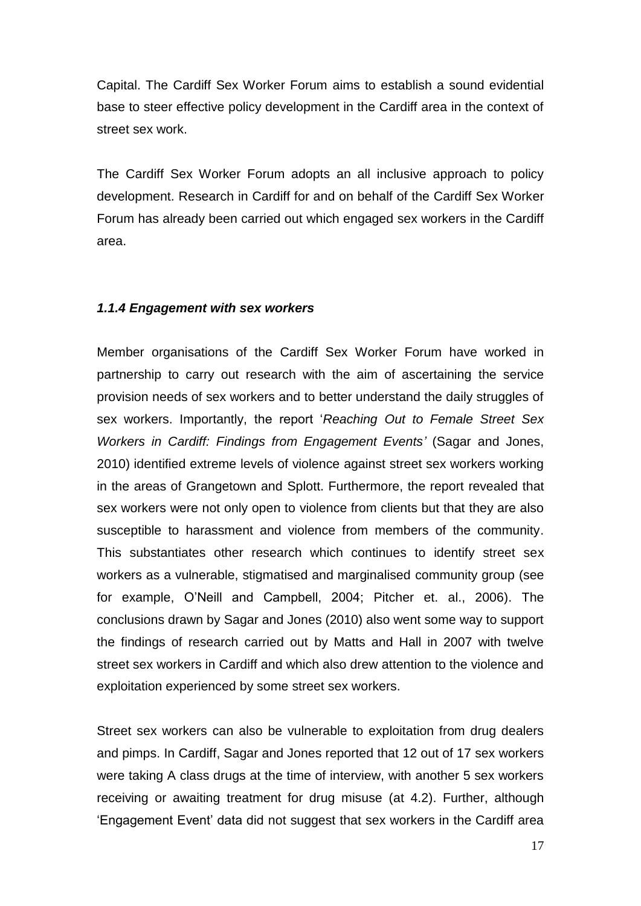Capital. The Cardiff Sex Worker Forum aims to establish a sound evidential base to steer effective policy development in the Cardiff area in the context of street sex work.

The Cardiff Sex Worker Forum adopts an all inclusive approach to policy development. Research in Cardiff for and on behalf of the Cardiff Sex Worker Forum has already been carried out which engaged sex workers in the Cardiff area.

#### *1.1.4 Engagement with sex workers*

Member organisations of the Cardiff Sex Worker Forum have worked in partnership to carry out research with the aim of ascertaining the service provision needs of sex workers and to better understand the daily struggles of sex workers. Importantly, the report "*Reaching Out to Female Street Sex Workers in Cardiff: Findings from Engagement Events"* (Sagar and Jones, 2010) identified extreme levels of violence against street sex workers working in the areas of Grangetown and Splott. Furthermore, the report revealed that sex workers were not only open to violence from clients but that they are also susceptible to harassment and violence from members of the community. This substantiates other research which continues to identify street sex workers as a vulnerable, stigmatised and marginalised community group (see for example, O"Neill and Campbell, 2004; Pitcher et. al., 2006). The conclusions drawn by Sagar and Jones (2010) also went some way to support the findings of research carried out by Matts and Hall in 2007 with twelve street sex workers in Cardiff and which also drew attention to the violence and exploitation experienced by some street sex workers.

Street sex workers can also be vulnerable to exploitation from drug dealers and pimps. In Cardiff, Sagar and Jones reported that 12 out of 17 sex workers were taking A class drugs at the time of interview, with another 5 sex workers receiving or awaiting treatment for drug misuse (at 4.2). Further, although "Engagement Event" data did not suggest that sex workers in the Cardiff area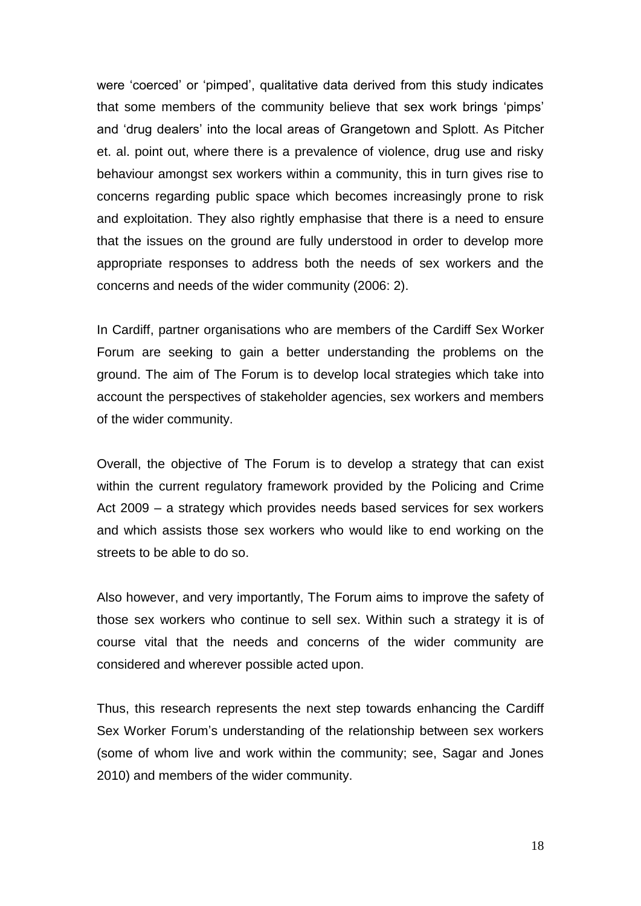were "coerced" or "pimped", qualitative data derived from this study indicates that some members of the community believe that sex work brings "pimps" and 'drug dealers' into the local areas of Grangetown and Splott. As Pitcher et. al. point out, where there is a prevalence of violence, drug use and risky behaviour amongst sex workers within a community, this in turn gives rise to concerns regarding public space which becomes increasingly prone to risk and exploitation. They also rightly emphasise that there is a need to ensure that the issues on the ground are fully understood in order to develop more appropriate responses to address both the needs of sex workers and the concerns and needs of the wider community (2006: 2).

In Cardiff, partner organisations who are members of the Cardiff Sex Worker Forum are seeking to gain a better understanding the problems on the ground. The aim of The Forum is to develop local strategies which take into account the perspectives of stakeholder agencies, sex workers and members of the wider community.

Overall, the objective of The Forum is to develop a strategy that can exist within the current regulatory framework provided by the Policing and Crime Act 2009 – a strategy which provides needs based services for sex workers and which assists those sex workers who would like to end working on the streets to be able to do so.

Also however, and very importantly, The Forum aims to improve the safety of those sex workers who continue to sell sex. Within such a strategy it is of course vital that the needs and concerns of the wider community are considered and wherever possible acted upon.

Thus, this research represents the next step towards enhancing the Cardiff Sex Worker Forum"s understanding of the relationship between sex workers (some of whom live and work within the community; see, Sagar and Jones 2010) and members of the wider community.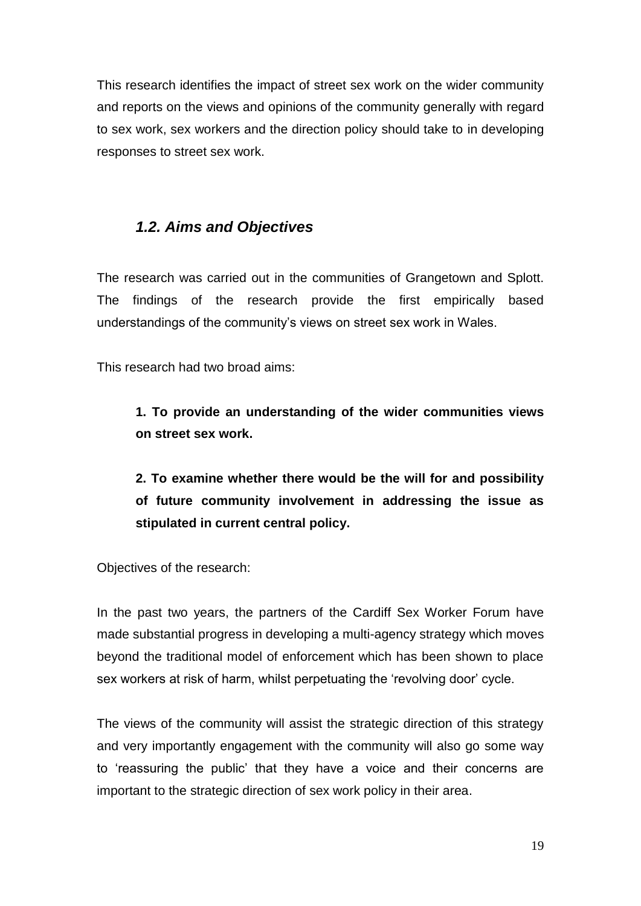This research identifies the impact of street sex work on the wider community and reports on the views and opinions of the community generally with regard to sex work, sex workers and the direction policy should take to in developing responses to street sex work.

## *1.2. Aims and Objectives*

The research was carried out in the communities of Grangetown and Splott. The findings of the research provide the first empirically based understandings of the community"s views on street sex work in Wales.

This research had two broad aims:

**1. To provide an understanding of the wider communities views on street sex work.**

**2. To examine whether there would be the will for and possibility of future community involvement in addressing the issue as stipulated in current central policy.**

Objectives of the research:

In the past two years, the partners of the Cardiff Sex Worker Forum have made substantial progress in developing a multi-agency strategy which moves beyond the traditional model of enforcement which has been shown to place sex workers at risk of harm, whilst perpetuating the "revolving door" cycle.

The views of the community will assist the strategic direction of this strategy and very importantly engagement with the community will also go some way to "reassuring the public" that they have a voice and their concerns are important to the strategic direction of sex work policy in their area.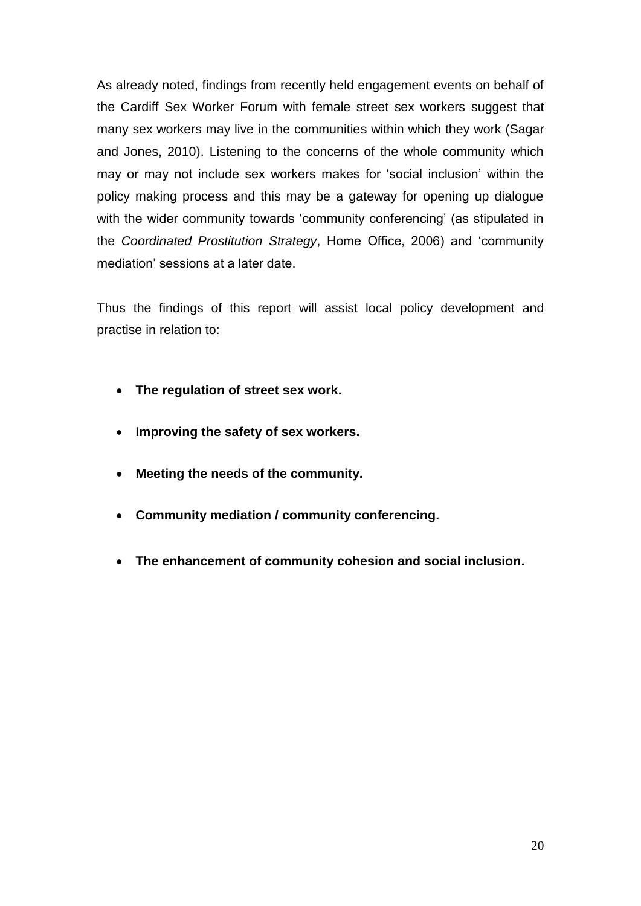As already noted, findings from recently held engagement events on behalf of the Cardiff Sex Worker Forum with female street sex workers suggest that many sex workers may live in the communities within which they work (Sagar and Jones, 2010). Listening to the concerns of the whole community which may or may not include sex workers makes for "social inclusion" within the policy making process and this may be a gateway for opening up dialogue with the wider community towards 'community conferencing' (as stipulated in the *Coordinated Prostitution Strategy*, Home Office, 2006) and "community mediation" sessions at a later date.

Thus the findings of this report will assist local policy development and practise in relation to:

- **The regulation of street sex work.**
- **Improving the safety of sex workers.**
- **Meeting the needs of the community.**
- **Community mediation / community conferencing.**
- **The enhancement of community cohesion and social inclusion.**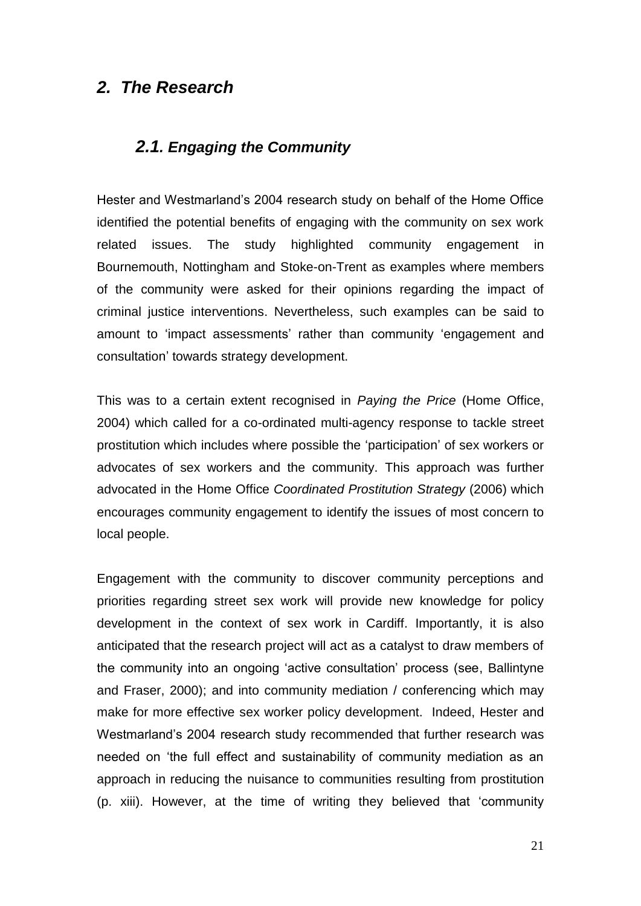## *2. The Research*

#### *2.1. Engaging the Community*

Hester and Westmarland"s 2004 research study on behalf of the Home Office identified the potential benefits of engaging with the community on sex work related issues. The study highlighted community engagement in Bournemouth, Nottingham and Stoke-on-Trent as examples where members of the community were asked for their opinions regarding the impact of criminal justice interventions. Nevertheless, such examples can be said to amount to 'impact assessments' rather than community 'engagement and consultation" towards strategy development.

This was to a certain extent recognised in *Paying the Price* (Home Office, 2004) which called for a co-ordinated multi-agency response to tackle street prostitution which includes where possible the "participation" of sex workers or advocates of sex workers and the community. This approach was further advocated in the Home Office *Coordinated Prostitution Strategy* (2006) which encourages community engagement to identify the issues of most concern to local people.

Engagement with the community to discover community perceptions and priorities regarding street sex work will provide new knowledge for policy development in the context of sex work in Cardiff. Importantly, it is also anticipated that the research project will act as a catalyst to draw members of the community into an ongoing "active consultation" process (see, Ballintyne and Fraser, 2000); and into community mediation / conferencing which may make for more effective sex worker policy development. Indeed, Hester and Westmarland"s 2004 research study recommended that further research was needed on "the full effect and sustainability of community mediation as an approach in reducing the nuisance to communities resulting from prostitution (p. xiii). However, at the time of writing they believed that "community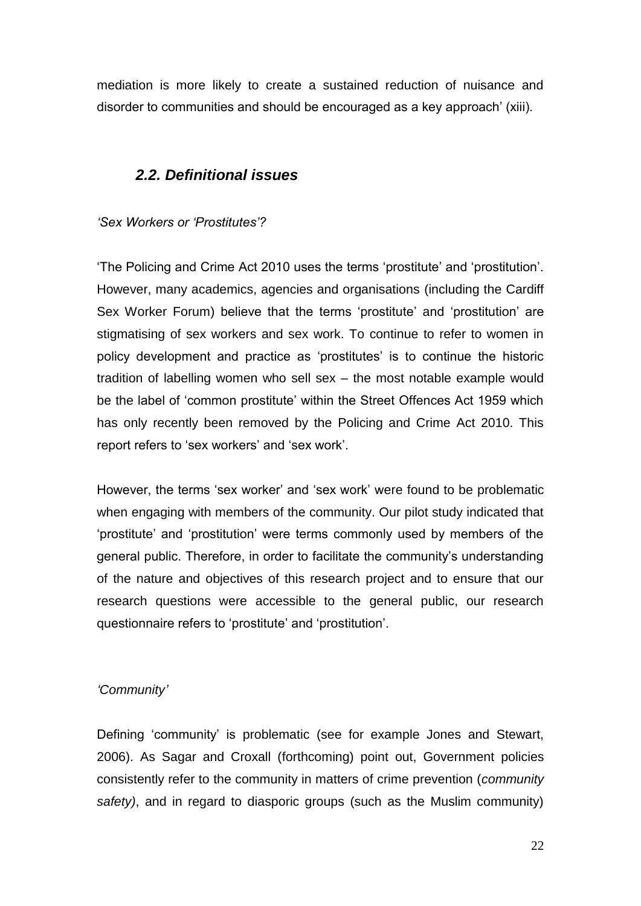mediation is more likely to create a sustained reduction of nuisance and disorder to communities and should be encouraged as a key approach" (xiii).

#### *2.2. Definitional issues*

*"Sex Workers or "Prostitutes"?*

"The Policing and Crime Act 2010 uses the terms "prostitute" and "prostitution". However, many academics, agencies and organisations (including the Cardiff Sex Worker Forum) believe that the terms 'prostitute' and 'prostitution' are stigmatising of sex workers and sex work. To continue to refer to women in policy development and practice as "prostitutes" is to continue the historic tradition of labelling women who sell sex – the most notable example would be the label of "common prostitute" within the Street Offences Act 1959 which has only recently been removed by the Policing and Crime Act 2010. This report refers to 'sex workers' and 'sex work'.

However, the terms "sex worker" and "sex work" were found to be problematic when engaging with members of the community. Our pilot study indicated that "prostitute" and "prostitution" were terms commonly used by members of the general public. Therefore, in order to facilitate the community's understanding of the nature and objectives of this research project and to ensure that our research questions were accessible to the general public, our research questionnaire refers to 'prostitute' and 'prostitution'.

#### *"Community"*

Defining "community" is problematic (see for example Jones and Stewart, 2006). As Sagar and Croxall (forthcoming) point out, Government policies consistently refer to the community in matters of crime prevention (*community safety)*, and in regard to diasporic groups (such as the Muslim community)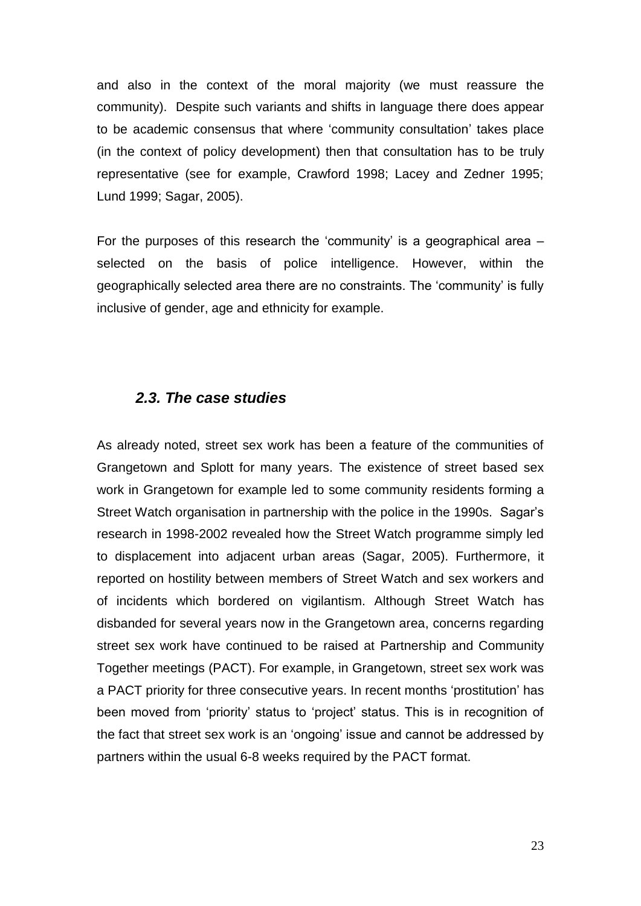and also in the context of the moral majority (we must reassure the community). Despite such variants and shifts in language there does appear to be academic consensus that where "community consultation" takes place (in the context of policy development) then that consultation has to be truly representative (see for example, Crawford 1998; Lacey and Zedner 1995; Lund 1999; Sagar, 2005).

For the purposes of this research the 'community' is a geographical area  $$ selected on the basis of police intelligence. However, within the geographically selected area there are no constraints. The "community" is fully inclusive of gender, age and ethnicity for example.

#### *2.3. The case studies*

As already noted, street sex work has been a feature of the communities of Grangetown and Splott for many years. The existence of street based sex work in Grangetown for example led to some community residents forming a Street Watch organisation in partnership with the police in the 1990s. Sagar"s research in 1998-2002 revealed how the Street Watch programme simply led to displacement into adjacent urban areas (Sagar, 2005). Furthermore, it reported on hostility between members of Street Watch and sex workers and of incidents which bordered on vigilantism. Although Street Watch has disbanded for several years now in the Grangetown area, concerns regarding street sex work have continued to be raised at Partnership and Community Together meetings (PACT). For example, in Grangetown, street sex work was a PACT priority for three consecutive years. In recent months "prostitution" has been moved from "priority" status to "project" status. This is in recognition of the fact that street sex work is an "ongoing" issue and cannot be addressed by partners within the usual 6-8 weeks required by the PACT format.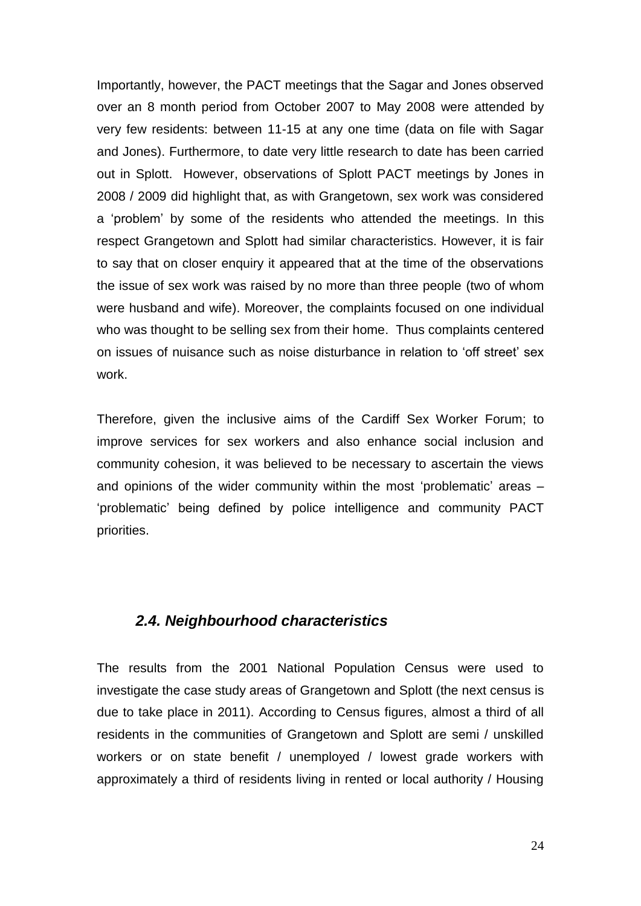Importantly, however, the PACT meetings that the Sagar and Jones observed over an 8 month period from October 2007 to May 2008 were attended by very few residents: between 11-15 at any one time (data on file with Sagar and Jones). Furthermore, to date very little research to date has been carried out in Splott. However, observations of Splott PACT meetings by Jones in 2008 / 2009 did highlight that, as with Grangetown, sex work was considered a "problem" by some of the residents who attended the meetings. In this respect Grangetown and Splott had similar characteristics. However, it is fair to say that on closer enquiry it appeared that at the time of the observations the issue of sex work was raised by no more than three people (two of whom were husband and wife). Moreover, the complaints focused on one individual who was thought to be selling sex from their home. Thus complaints centered on issues of nuisance such as noise disturbance in relation to "off street" sex work.

Therefore, given the inclusive aims of the Cardiff Sex Worker Forum; to improve services for sex workers and also enhance social inclusion and community cohesion, it was believed to be necessary to ascertain the views and opinions of the wider community within the most 'problematic' areas – "problematic" being defined by police intelligence and community PACT priorities.

#### *2.4. Neighbourhood characteristics*

The results from the 2001 National Population Census were used to investigate the case study areas of Grangetown and Splott (the next census is due to take place in 2011). According to Census figures, almost a third of all residents in the communities of Grangetown and Splott are semi / unskilled workers or on state benefit / unemployed / lowest grade workers with approximately a third of residents living in rented or local authority / Housing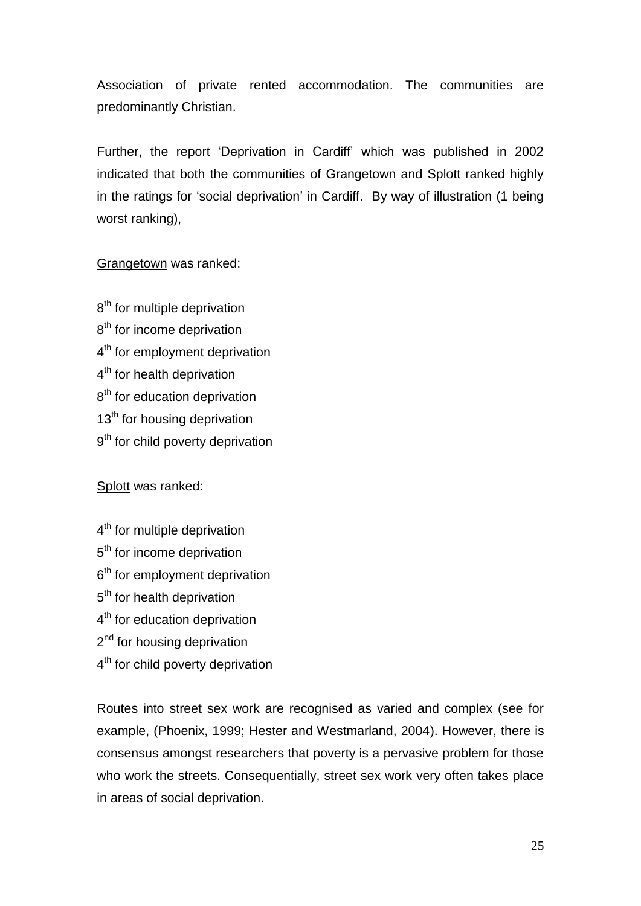Association of private rented accommodation. The communities are predominantly Christian.

Further, the report 'Deprivation in Cardiff' which was published in 2002 indicated that both the communities of Grangetown and Splott ranked highly in the ratings for "social deprivation" in Cardiff. By way of illustration (1 being worst ranking),

Grangetown was ranked:

8<sup>th</sup> for multiple deprivation 8<sup>th</sup> for income deprivation 4<sup>th</sup> for employment deprivation 4<sup>th</sup> for health deprivation 8<sup>th</sup> for education deprivation 13<sup>th</sup> for housing deprivation 9<sup>th</sup> for child poverty deprivation

Splott was ranked:

- 4<sup>th</sup> for multiple deprivation
- 5<sup>th</sup> for income deprivation
- 6<sup>th</sup> for employment deprivation
- 5<sup>th</sup> for health deprivation
- 4<sup>th</sup> for education deprivation
- 2<sup>nd</sup> for housing deprivation
- 4<sup>th</sup> for child poverty deprivation

Routes into street sex work are recognised as varied and complex (see for example, (Phoenix, 1999; Hester and Westmarland, 2004). However, there is consensus amongst researchers that poverty is a pervasive problem for those who work the streets. Consequentially, street sex work very often takes place in areas of social deprivation.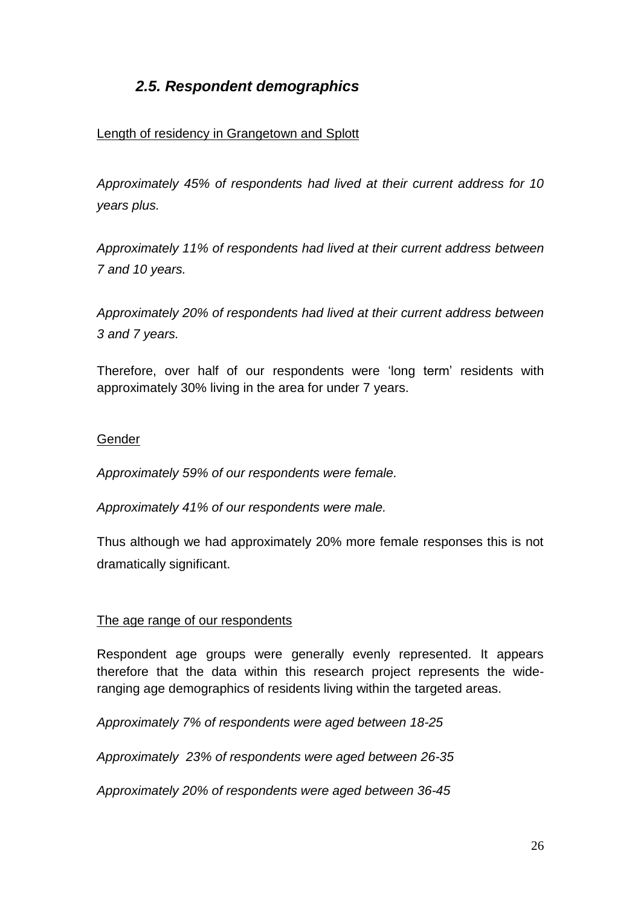## *2.5. Respondent demographics*

#### Length of residency in Grangetown and Splott

*Approximately 45% of respondents had lived at their current address for 10 years plus.* 

*Approximately 11% of respondents had lived at their current address between 7 and 10 years.*

*Approximately 20% of respondents had lived at their current address between 3 and 7 years.*

Therefore, over half of our respondents were "long term" residents with approximately 30% living in the area for under 7 years.

#### Gender

*Approximately 59% of our respondents were female.*

*Approximately 41% of our respondents were male.* 

Thus although we had approximately 20% more female responses this is not dramatically significant.

#### The age range of our respondents

Respondent age groups were generally evenly represented. It appears therefore that the data within this research project represents the wideranging age demographics of residents living within the targeted areas.

*Approximately 7% of respondents were aged between 18-25*

*Approximately 23% of respondents were aged between 26-35*

*Approximately 20% of respondents were aged between 36-45*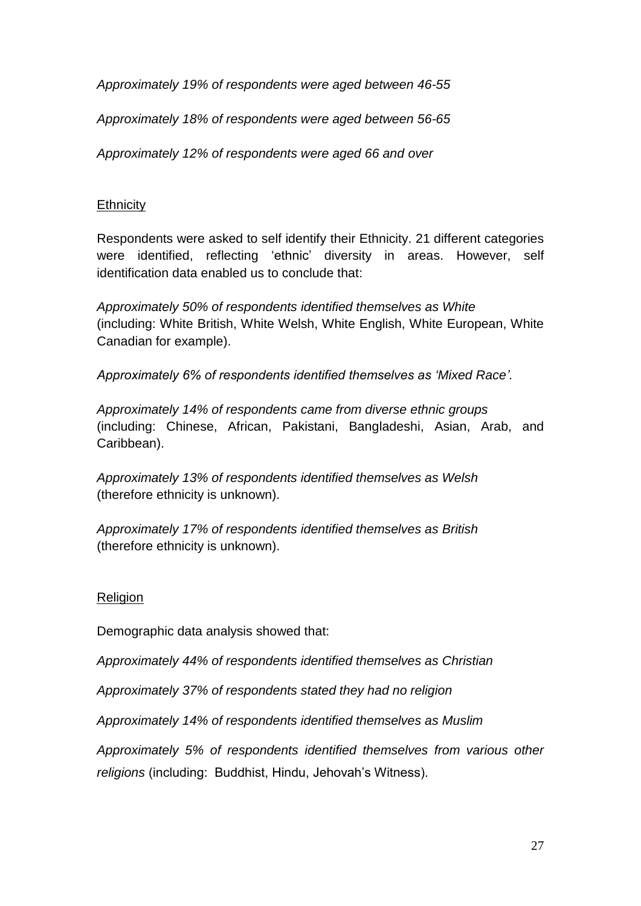*Approximately 19% of respondents were aged between 46-55*

*Approximately 18% of respondents were aged between 56-65*

*Approximately 12% of respondents were aged 66 and over* 

#### **Ethnicity**

Respondents were asked to self identify their Ethnicity. 21 different categories were identified, reflecting 'ethnic' diversity in areas. However, self identification data enabled us to conclude that:

*Approximately 50% of respondents identified themselves as White* (including: White British, White Welsh, White English, White European, White Canadian for example).

*Approximately 6% of respondents identified themselves as "Mixed Race".*

*Approximately 14% of respondents came from diverse ethnic groups* (including: Chinese, African, Pakistani, Bangladeshi, Asian, Arab, and Caribbean).

*Approximately 13% of respondents identified themselves as Welsh* (therefore ethnicity is unknown).

*Approximately 17% of respondents identified themselves as British* (therefore ethnicity is unknown).

## Religion

Demographic data analysis showed that:

*Approximately 44% of respondents identified themselves as Christian*

*Approximately 37% of respondents stated they had no religion*

*Approximately 14% of respondents identified themselves as Muslim*

*Approximately 5% of respondents identified themselves from various other religions* (including: Buddhist, Hindu, Jehovah"s Witness).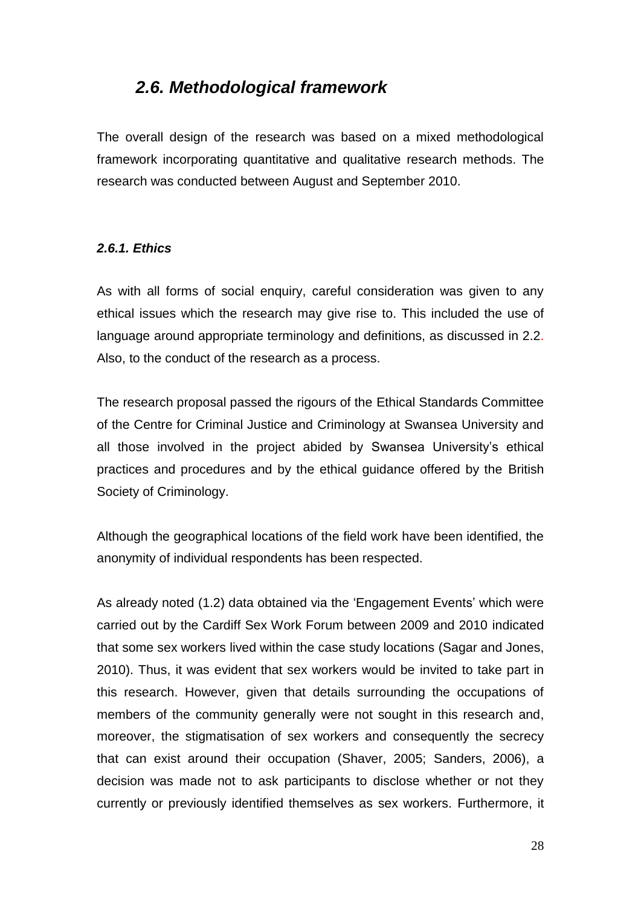## *2.6. Methodological framework*

The overall design of the research was based on a mixed methodological framework incorporating quantitative and qualitative research methods. The research was conducted between August and September 2010.

#### *2.6.1. Ethics*

As with all forms of social enquiry, careful consideration was given to any ethical issues which the research may give rise to. This included the use of language around appropriate terminology and definitions, as discussed in 2.2. Also, to the conduct of the research as a process.

The research proposal passed the rigours of the Ethical Standards Committee of the Centre for Criminal Justice and Criminology at Swansea University and all those involved in the project abided by Swansea University"s ethical practices and procedures and by the ethical guidance offered by the British Society of Criminology.

Although the geographical locations of the field work have been identified, the anonymity of individual respondents has been respected.

As already noted (1.2) data obtained via the 'Engagement Events' which were carried out by the Cardiff Sex Work Forum between 2009 and 2010 indicated that some sex workers lived within the case study locations (Sagar and Jones, 2010). Thus, it was evident that sex workers would be invited to take part in this research. However, given that details surrounding the occupations of members of the community generally were not sought in this research and, moreover, the stigmatisation of sex workers and consequently the secrecy that can exist around their occupation (Shaver, 2005; Sanders, 2006), a decision was made not to ask participants to disclose whether or not they currently or previously identified themselves as sex workers. Furthermore, it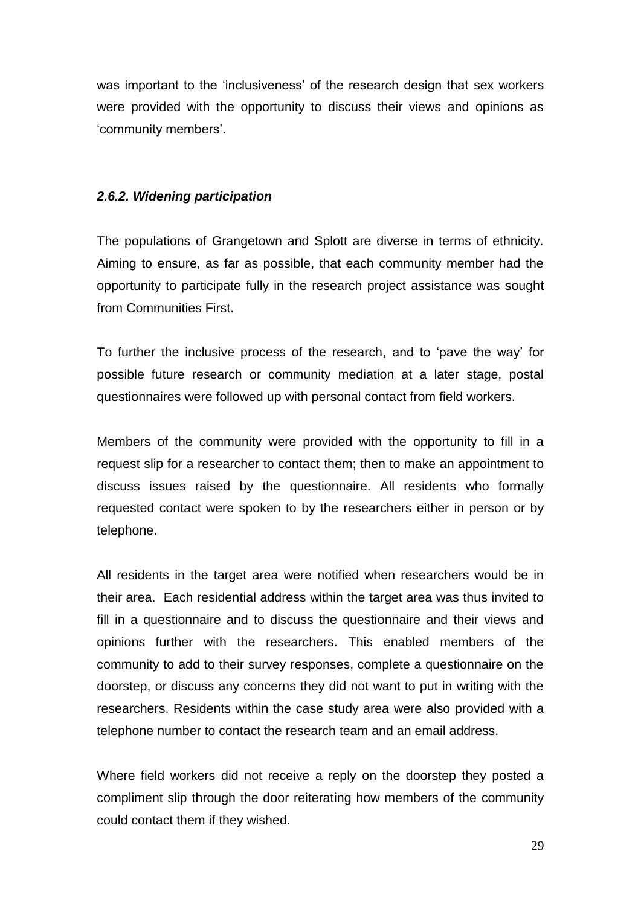was important to the 'inclusiveness' of the research design that sex workers were provided with the opportunity to discuss their views and opinions as "community members".

#### *2.6.2. Widening participation*

The populations of Grangetown and Splott are diverse in terms of ethnicity. Aiming to ensure, as far as possible, that each community member had the opportunity to participate fully in the research project assistance was sought from Communities First.

To further the inclusive process of the research, and to "pave the way" for possible future research or community mediation at a later stage, postal questionnaires were followed up with personal contact from field workers.

Members of the community were provided with the opportunity to fill in a request slip for a researcher to contact them; then to make an appointment to discuss issues raised by the questionnaire. All residents who formally requested contact were spoken to by the researchers either in person or by telephone.

All residents in the target area were notified when researchers would be in their area. Each residential address within the target area was thus invited to fill in a questionnaire and to discuss the questionnaire and their views and opinions further with the researchers. This enabled members of the community to add to their survey responses, complete a questionnaire on the doorstep, or discuss any concerns they did not want to put in writing with the researchers. Residents within the case study area were also provided with a telephone number to contact the research team and an email address.

Where field workers did not receive a reply on the doorstep they posted a compliment slip through the door reiterating how members of the community could contact them if they wished.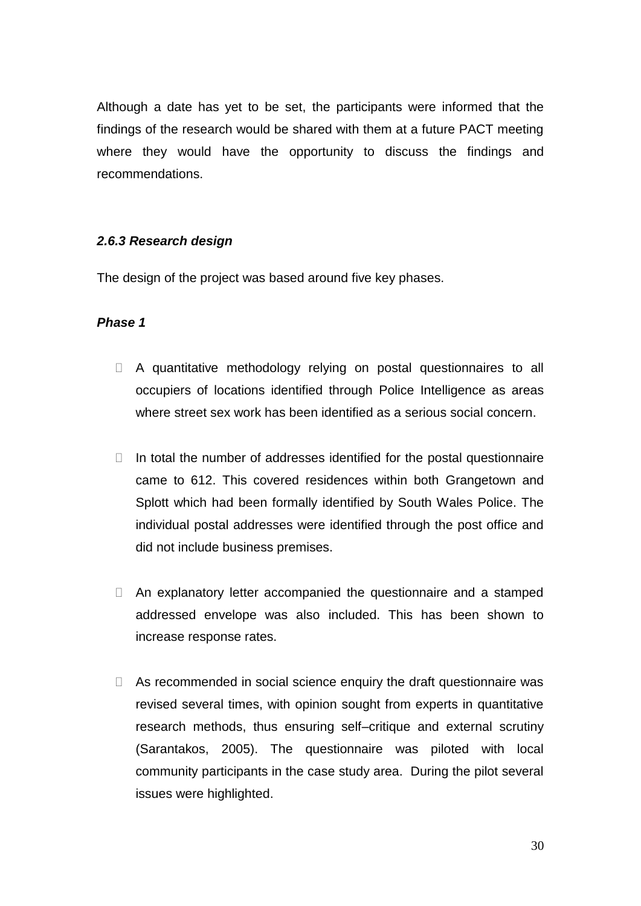Although a date has yet to be set, the participants were informed that the findings of the research would be shared with them at a future PACT meeting where they would have the opportunity to discuss the findings and recommendations.

#### *2.6.3 Research design*

The design of the project was based around five key phases.

#### *Phase 1*

- A quantitative methodology relying on postal questionnaires to all occupiers of locations identified through Police Intelligence as areas where street sex work has been identified as a serious social concern.
- $\Box$  In total the number of addresses identified for the postal questionnaire came to 612. This covered residences within both Grangetown and Splott which had been formally identified by South Wales Police. The individual postal addresses were identified through the post office and did not include business premises.
- An explanatory letter accompanied the questionnaire and a stamped addressed envelope was also included. This has been shown to increase response rates.
- $\Box$  As recommended in social science enquiry the draft questionnaire was revised several times, with opinion sought from experts in quantitative research methods, thus ensuring self–critique and external scrutiny (Sarantakos, 2005). The questionnaire was piloted with local community participants in the case study area. During the pilot several issues were highlighted.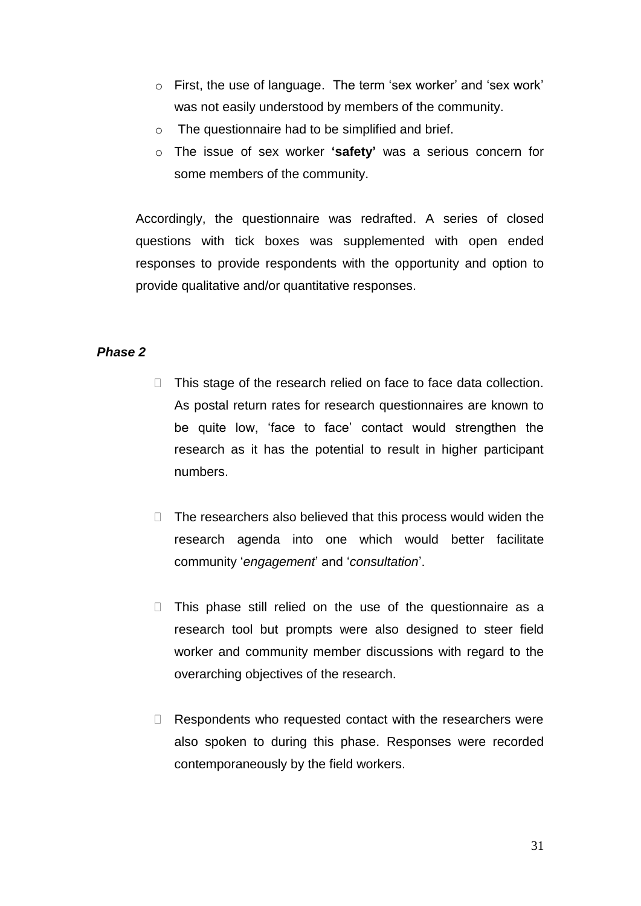- o First, the use of language. The term "sex worker" and "sex work" was not easily understood by members of the community.
- o The questionnaire had to be simplified and brief.
- o The issue of sex worker **'safety'** was a serious concern for some members of the community.

Accordingly, the questionnaire was redrafted. A series of closed questions with tick boxes was supplemented with open ended responses to provide respondents with the opportunity and option to provide qualitative and/or quantitative responses.

#### *Phase 2*

- $\Box$  This stage of the research relied on face to face data collection. As postal return rates for research questionnaires are known to be quite low, "face to face" contact would strengthen the research as it has the potential to result in higher participant numbers.
- $\Box$  The researchers also believed that this process would widen the research agenda into one which would better facilitate community "*engagement*" and "*consultation*".
- $\Box$  This phase still relied on the use of the questionnaire as a research tool but prompts were also designed to steer field worker and community member discussions with regard to the overarching objectives of the research.
- $\Box$  Respondents who requested contact with the researchers were also spoken to during this phase. Responses were recorded contemporaneously by the field workers.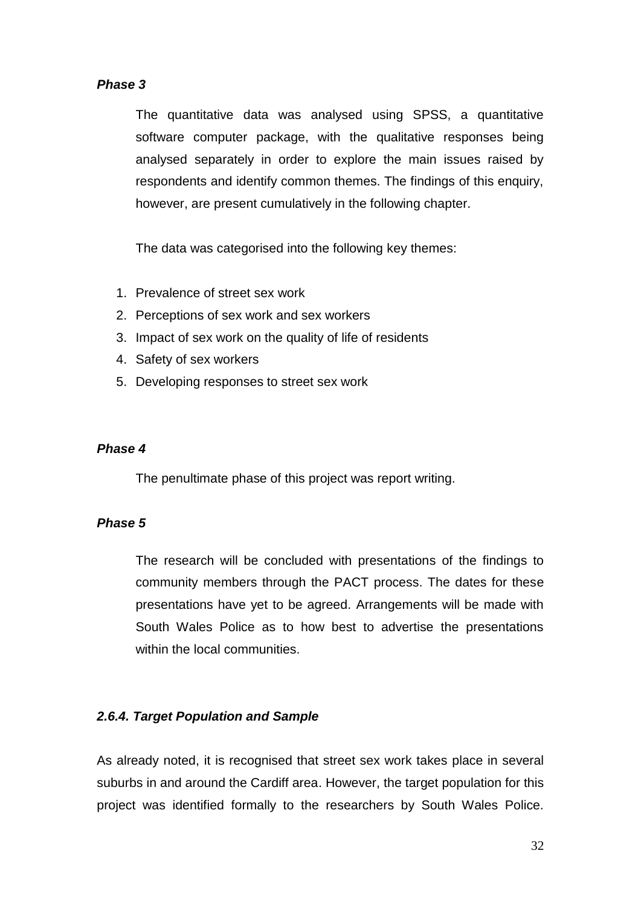#### *Phase 3*

The quantitative data was analysed using SPSS, a quantitative software computer package, with the qualitative responses being analysed separately in order to explore the main issues raised by respondents and identify common themes. The findings of this enquiry, however, are present cumulatively in the following chapter.

The data was categorised into the following key themes:

- 1. Prevalence of street sex work
- 2. Perceptions of sex work and sex workers
- 3. Impact of sex work on the quality of life of residents
- 4. Safety of sex workers
- 5. Developing responses to street sex work

#### *Phase 4*

The penultimate phase of this project was report writing.

#### *Phase 5*

The research will be concluded with presentations of the findings to community members through the PACT process. The dates for these presentations have yet to be agreed. Arrangements will be made with South Wales Police as to how best to advertise the presentations within the local communities.

#### *2.6.4. Target Population and Sample*

As already noted, it is recognised that street sex work takes place in several suburbs in and around the Cardiff area. However, the target population for this project was identified formally to the researchers by South Wales Police.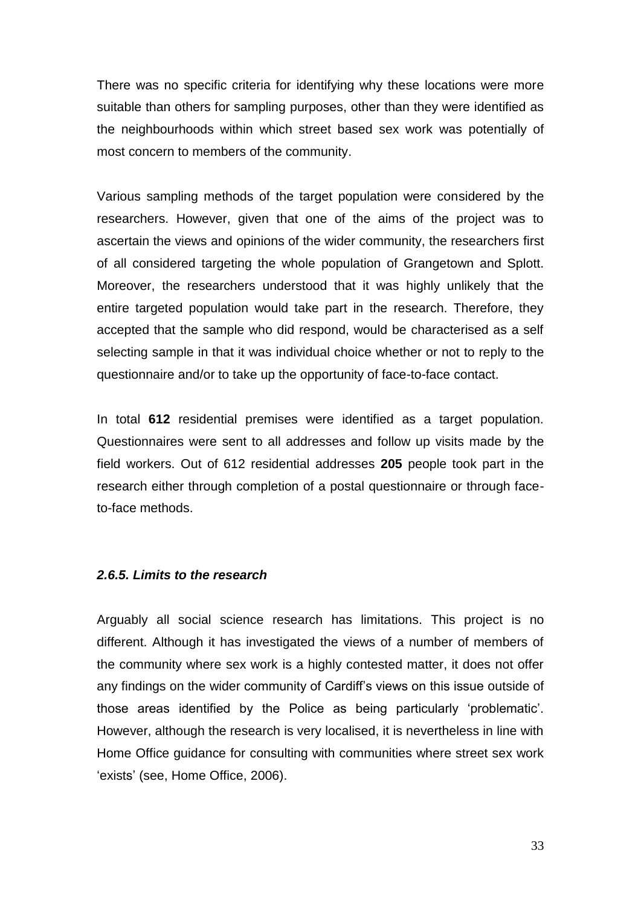There was no specific criteria for identifying why these locations were more suitable than others for sampling purposes, other than they were identified as the neighbourhoods within which street based sex work was potentially of most concern to members of the community.

Various sampling methods of the target population were considered by the researchers. However, given that one of the aims of the project was to ascertain the views and opinions of the wider community, the researchers first of all considered targeting the whole population of Grangetown and Splott. Moreover, the researchers understood that it was highly unlikely that the entire targeted population would take part in the research. Therefore, they accepted that the sample who did respond, would be characterised as a self selecting sample in that it was individual choice whether or not to reply to the questionnaire and/or to take up the opportunity of face-to-face contact.

In total **612** residential premises were identified as a target population. Questionnaires were sent to all addresses and follow up visits made by the field workers. Out of 612 residential addresses **205** people took part in the research either through completion of a postal questionnaire or through faceto-face methods.

#### *2.6.5. Limits to the research*

Arguably all social science research has limitations. This project is no different. Although it has investigated the views of a number of members of the community where sex work is a highly contested matter, it does not offer any findings on the wider community of Cardiff's views on this issue outside of those areas identified by the Police as being particularly "problematic". However, although the research is very localised, it is nevertheless in line with Home Office guidance for consulting with communities where street sex work 'exists' (see, Home Office, 2006).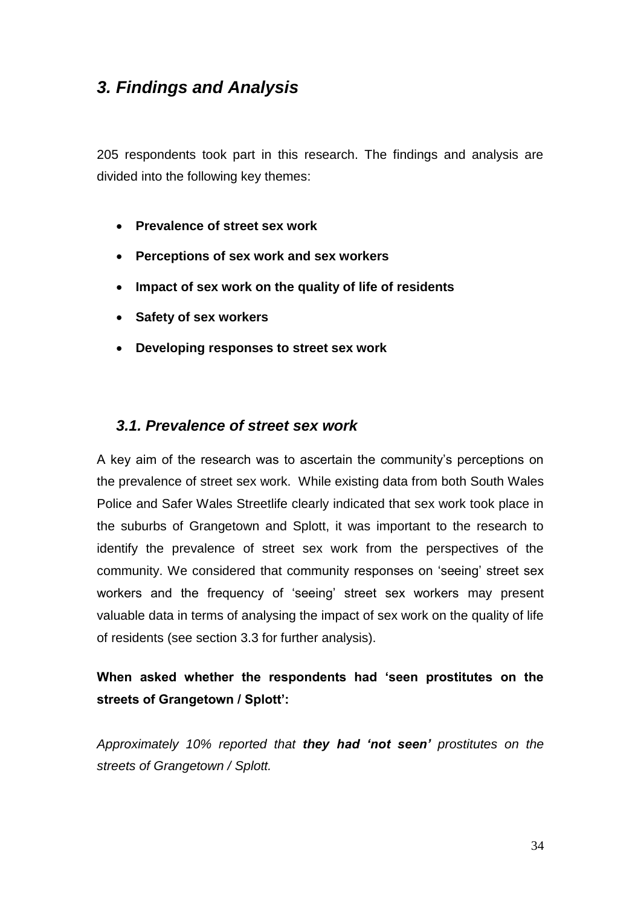# *3. Findings and Analysis*

205 respondents took part in this research. The findings and analysis are divided into the following key themes:

- **Prevalence of street sex work**
- **Perceptions of sex work and sex workers**
- **Impact of sex work on the quality of life of residents**
- **Safety of sex workers**
- **Developing responses to street sex work**

## *3.1. Prevalence of street sex work*

A key aim of the research was to ascertain the community's perceptions on the prevalence of street sex work. While existing data from both South Wales Police and Safer Wales Streetlife clearly indicated that sex work took place in the suburbs of Grangetown and Splott, it was important to the research to identify the prevalence of street sex work from the perspectives of the community. We considered that community responses on "seeing" street sex workers and the frequency of 'seeing' street sex workers may present valuable data in terms of analysing the impact of sex work on the quality of life of residents (see section 3.3 for further analysis).

## **When asked whether the respondents had 'seen prostitutes on the streets of Grangetown / Splott':**

*Approximately 10% reported that they had 'not seen' prostitutes on the streets of Grangetown / Splott.*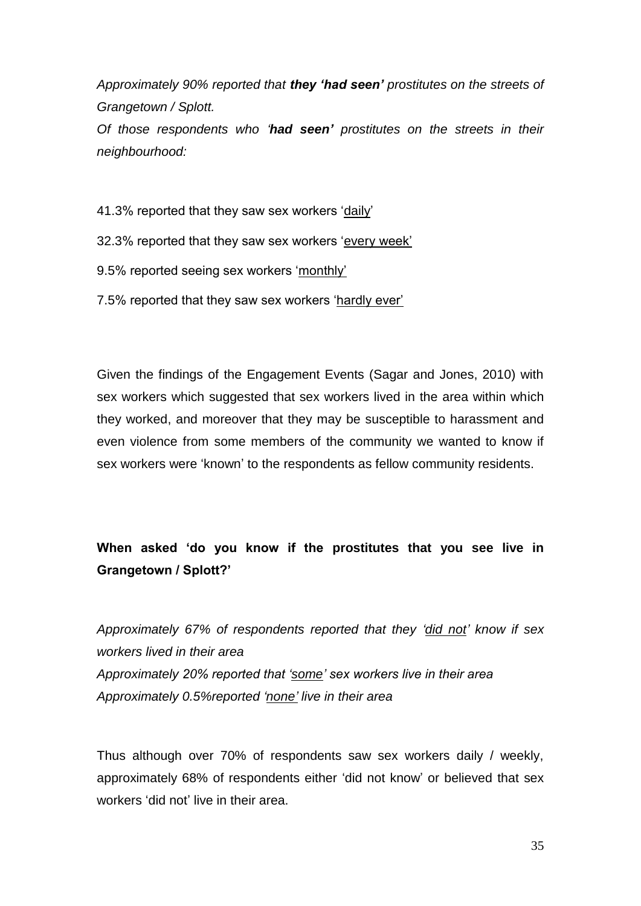*Approximately 90% reported that they 'had seen' prostitutes on the streets of Grangetown / Splott.* 

*Of those respondents who "had seen' prostitutes on the streets in their neighbourhood:*

41.3% reported that they saw sex workers "daily"

32.3% reported that they saw sex workers "every week"

9.5% reported seeing sex workers 'monthly'

7.5% reported that they saw sex workers "hardly ever"

Given the findings of the Engagement Events (Sagar and Jones, 2010) with sex workers which suggested that sex workers lived in the area within which they worked, and moreover that they may be susceptible to harassment and even violence from some members of the community we wanted to know if sex workers were "known" to the respondents as fellow community residents.

## **When asked 'do you know if the prostitutes that you see live in Grangetown / Splott?'**

*Approximately 67% of respondents reported that they "did not" know if sex workers lived in their area Approximately 20% reported that "some" sex workers live in their area Approximately 0.5%reported "none" live in their area*

Thus although over 70% of respondents saw sex workers daily / weekly, approximately 68% of respondents either "did not know" or believed that sex workers 'did not' live in their area.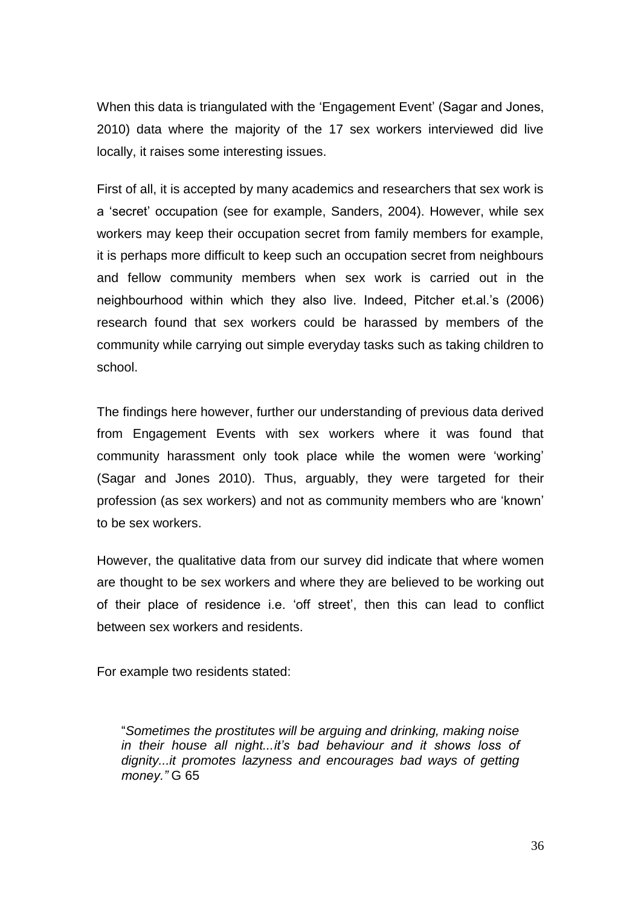When this data is triangulated with the "Engagement Event" (Sagar and Jones, 2010) data where the majority of the 17 sex workers interviewed did live locally, it raises some interesting issues.

First of all, it is accepted by many academics and researchers that sex work is a "secret" occupation (see for example, Sanders, 2004). However, while sex workers may keep their occupation secret from family members for example, it is perhaps more difficult to keep such an occupation secret from neighbours and fellow community members when sex work is carried out in the neighbourhood within which they also live. Indeed, Pitcher et.al."s (2006) research found that sex workers could be harassed by members of the community while carrying out simple everyday tasks such as taking children to school.

The findings here however, further our understanding of previous data derived from Engagement Events with sex workers where it was found that community harassment only took place while the women were "working" (Sagar and Jones 2010). Thus, arguably, they were targeted for their profession (as sex workers) and not as community members who are "known" to be sex workers.

However, the qualitative data from our survey did indicate that where women are thought to be sex workers and where they are believed to be working out of their place of residence i.e. "off street", then this can lead to conflict between sex workers and residents.

For example two residents stated:

"*Sometimes the prostitutes will be arguing and drinking, making noise in their house all night...it"s bad behaviour and it shows loss of dignity...it promotes lazyness and encourages bad ways of getting money."* G 65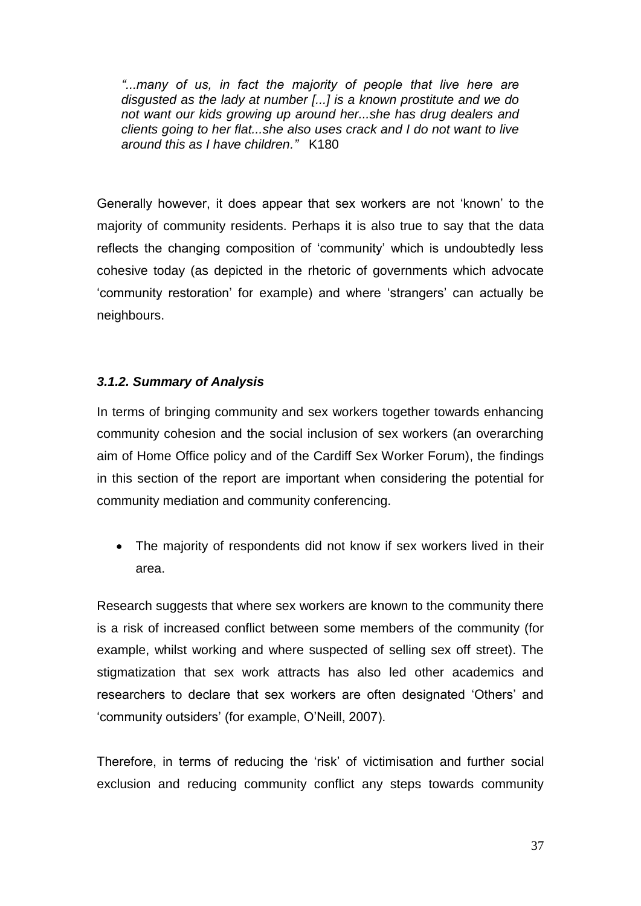*"...many of us, in fact the majority of people that live here are disgusted as the lady at number [...] is a known prostitute and we do not want our kids growing up around her...she has drug dealers and clients going to her flat...she also uses crack and I do not want to live around this as I have children."* K180

Generally however, it does appear that sex workers are not "known" to the majority of community residents. Perhaps it is also true to say that the data reflects the changing composition of "community" which is undoubtedly less cohesive today (as depicted in the rhetoric of governments which advocate "community restoration" for example) and where "strangers" can actually be neighbours.

# *3.1.2. Summary of Analysis*

In terms of bringing community and sex workers together towards enhancing community cohesion and the social inclusion of sex workers (an overarching aim of Home Office policy and of the Cardiff Sex Worker Forum), the findings in this section of the report are important when considering the potential for community mediation and community conferencing.

• The majority of respondents did not know if sex workers lived in their area.

Research suggests that where sex workers are known to the community there is a risk of increased conflict between some members of the community (for example, whilst working and where suspected of selling sex off street). The stigmatization that sex work attracts has also led other academics and researchers to declare that sex workers are often designated "Others" and "community outsiders" (for example, O"Neill, 2007).

Therefore, in terms of reducing the "risk" of victimisation and further social exclusion and reducing community conflict any steps towards community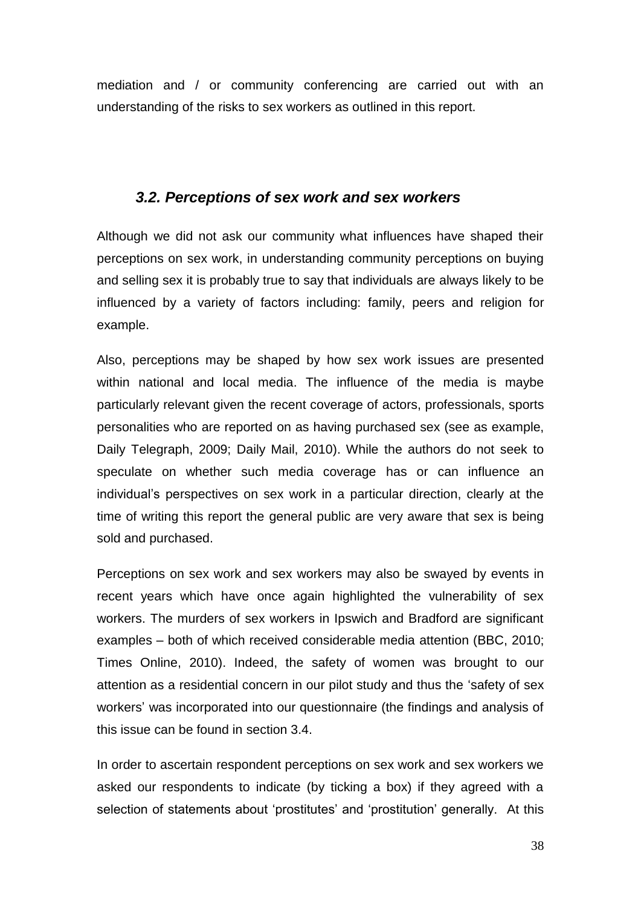mediation and / or community conferencing are carried out with an understanding of the risks to sex workers as outlined in this report.

# *3.2. Perceptions of sex work and sex workers*

Although we did not ask our community what influences have shaped their perceptions on sex work, in understanding community perceptions on buying and selling sex it is probably true to say that individuals are always likely to be influenced by a variety of factors including: family, peers and religion for example.

Also, perceptions may be shaped by how sex work issues are presented within national and local media. The influence of the media is maybe particularly relevant given the recent coverage of actors, professionals, sports personalities who are reported on as having purchased sex (see as example, Daily Telegraph, 2009; Daily Mail, 2010). While the authors do not seek to speculate on whether such media coverage has or can influence an individual"s perspectives on sex work in a particular direction, clearly at the time of writing this report the general public are very aware that sex is being sold and purchased.

Perceptions on sex work and sex workers may also be swayed by events in recent years which have once again highlighted the vulnerability of sex workers. The murders of sex workers in Ipswich and Bradford are significant examples – both of which received considerable media attention (BBC, 2010; Times Online, 2010). Indeed, the safety of women was brought to our attention as a residential concern in our pilot study and thus the "safety of sex workers' was incorporated into our questionnaire (the findings and analysis of this issue can be found in section 3.4.

In order to ascertain respondent perceptions on sex work and sex workers we asked our respondents to indicate (by ticking a box) if they agreed with a selection of statements about 'prostitutes' and 'prostitution' generally. At this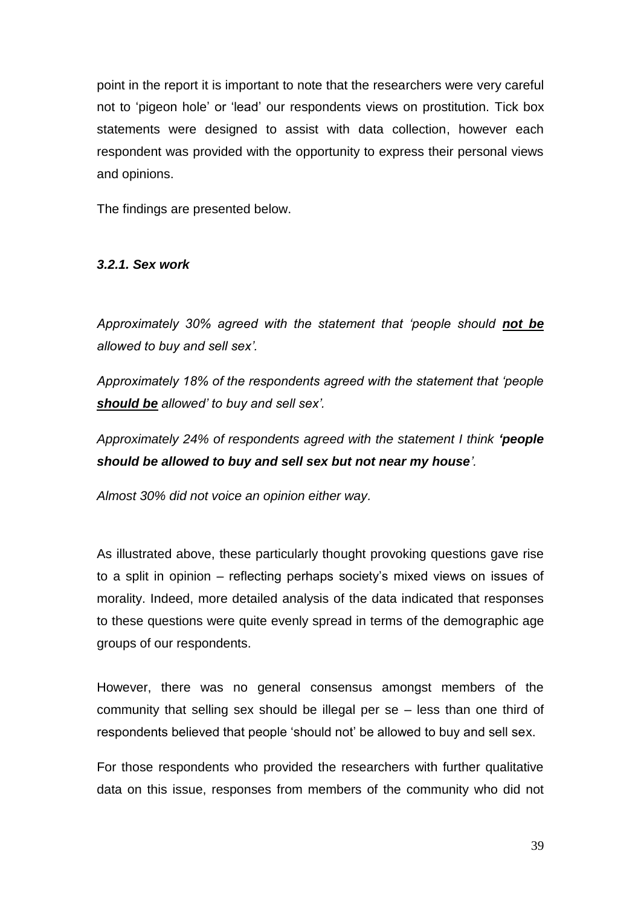point in the report it is important to note that the researchers were very careful not to "pigeon hole" or "lead" our respondents views on prostitution. Tick box statements were designed to assist with data collection, however each respondent was provided with the opportunity to express their personal views and opinions.

The findings are presented below.

#### *3.2.1. Sex work*

*Approximately 30% agreed with the statement that "people should not be allowed to buy and sell sex".*

*Approximately 18% of the respondents agreed with the statement that "people should be allowed" to buy and sell sex".*

*Approximately 24% of respondents agreed with the statement I think 'people should be allowed to buy and sell sex but not near my house".*

*Almost 30% did not voice an opinion either way.*

As illustrated above, these particularly thought provoking questions gave rise to a split in opinion – reflecting perhaps society"s mixed views on issues of morality. Indeed, more detailed analysis of the data indicated that responses to these questions were quite evenly spread in terms of the demographic age groups of our respondents.

However, there was no general consensus amongst members of the community that selling sex should be illegal per se – less than one third of respondents believed that people "should not" be allowed to buy and sell sex.

For those respondents who provided the researchers with further qualitative data on this issue, responses from members of the community who did not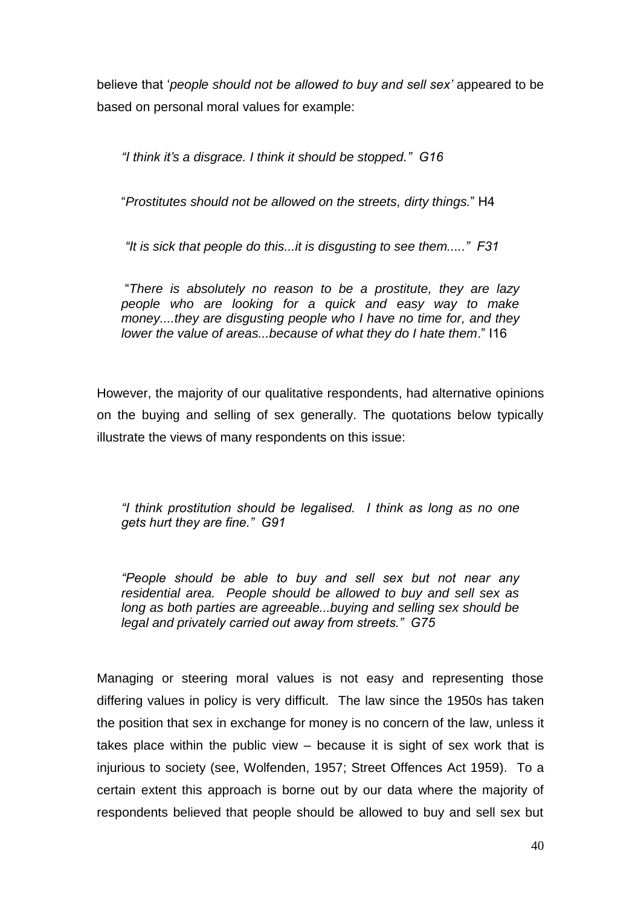believe that "*people should not be allowed to buy and sell sex"* appeared to be based on personal moral values for example:

*"I think it"s a disgrace. I think it should be stopped." G16*

"*Prostitutes should not be allowed on the streets, dirty things.*" H4

*"It is sick that people do this...it is disgusting to see them....." F31*

"*There is absolutely no reason to be a prostitute, they are lazy people who are looking for a quick and easy way to make money....they are disgusting people who I have no time for, and they lower the value of areas...because of what they do I hate them*." I16

However, the majority of our qualitative respondents, had alternative opinions on the buying and selling of sex generally. The quotations below typically illustrate the views of many respondents on this issue:

*"I think prostitution should be legalised. I think as long as no one gets hurt they are fine." G91*

*"People should be able to buy and sell sex but not near any residential area. People should be allowed to buy and sell sex as long as both parties are agreeable...buying and selling sex should be legal and privately carried out away from streets." G75*

Managing or steering moral values is not easy and representing those differing values in policy is very difficult. The law since the 1950s has taken the position that sex in exchange for money is no concern of the law, unless it takes place within the public view – because it is sight of sex work that is injurious to society (see, Wolfenden, 1957; Street Offences Act 1959). To a certain extent this approach is borne out by our data where the majority of respondents believed that people should be allowed to buy and sell sex but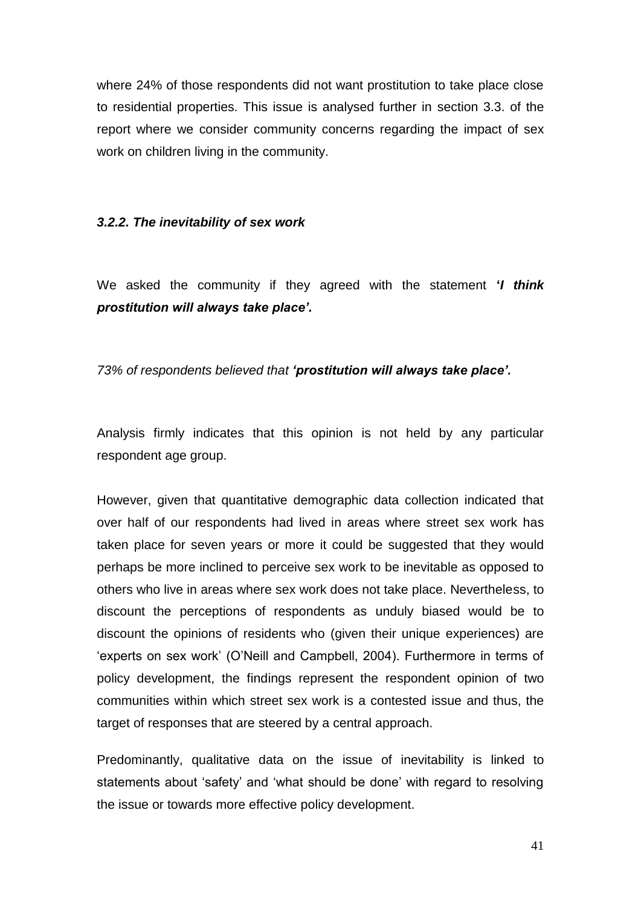where 24% of those respondents did not want prostitution to take place close to residential properties. This issue is analysed further in section 3.3. of the report where we consider community concerns regarding the impact of sex work on children living in the community.

#### *3.2.2. The inevitability of sex work*

We asked the community if they agreed with the statement **'***I think prostitution will always take place'.*

#### *73% of respondents believed that 'prostitution will always take place'.*

Analysis firmly indicates that this opinion is not held by any particular respondent age group.

However, given that quantitative demographic data collection indicated that over half of our respondents had lived in areas where street sex work has taken place for seven years or more it could be suggested that they would perhaps be more inclined to perceive sex work to be inevitable as opposed to others who live in areas where sex work does not take place. Nevertheless, to discount the perceptions of respondents as unduly biased would be to discount the opinions of residents who (given their unique experiences) are 'experts on sex work' (O'Neill and Campbell, 2004). Furthermore in terms of policy development, the findings represent the respondent opinion of two communities within which street sex work is a contested issue and thus, the target of responses that are steered by a central approach.

Predominantly, qualitative data on the issue of inevitability is linked to statements about "safety" and "what should be done" with regard to resolving the issue or towards more effective policy development.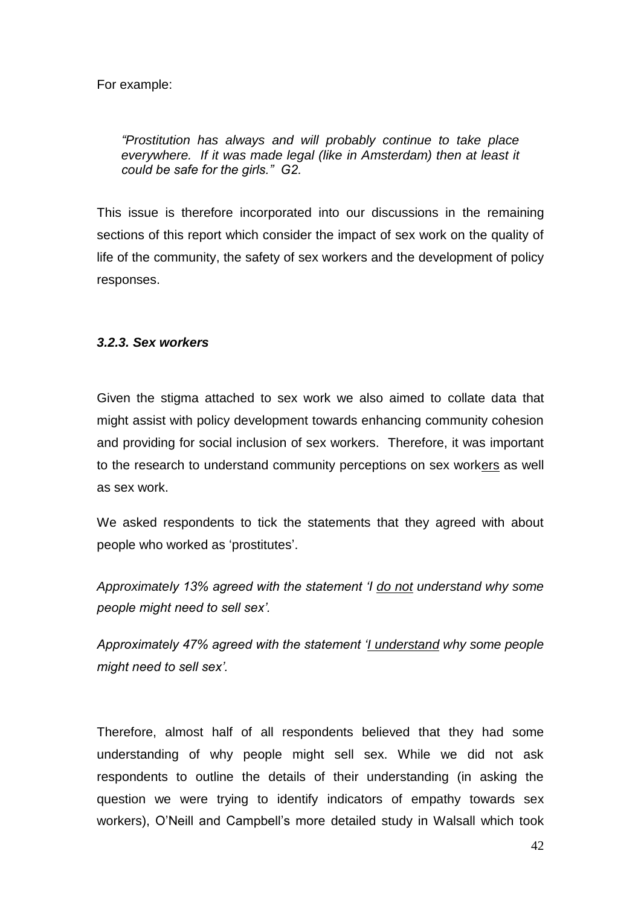For example:

*"Prostitution has always and will probably continue to take place everywhere. If it was made legal (like in Amsterdam) then at least it could be safe for the girls." G2.*

This issue is therefore incorporated into our discussions in the remaining sections of this report which consider the impact of sex work on the quality of life of the community, the safety of sex workers and the development of policy responses.

#### *3.2.3. Sex workers*

Given the stigma attached to sex work we also aimed to collate data that might assist with policy development towards enhancing community cohesion and providing for social inclusion of sex workers. Therefore, it was important to the research to understand community perceptions on sex workers as well as sex work.

We asked respondents to tick the statements that they agreed with about people who worked as "prostitutes".

*Approximately 13% agreed with the statement "I do not understand why some people might need to sell sex".*

*Approximately 47% agreed with the statement "I understand why some people might need to sell sex".* 

Therefore, almost half of all respondents believed that they had some understanding of why people might sell sex. While we did not ask respondents to outline the details of their understanding (in asking the question we were trying to identify indicators of empathy towards sex workers), O"Neill and Campbell"s more detailed study in Walsall which took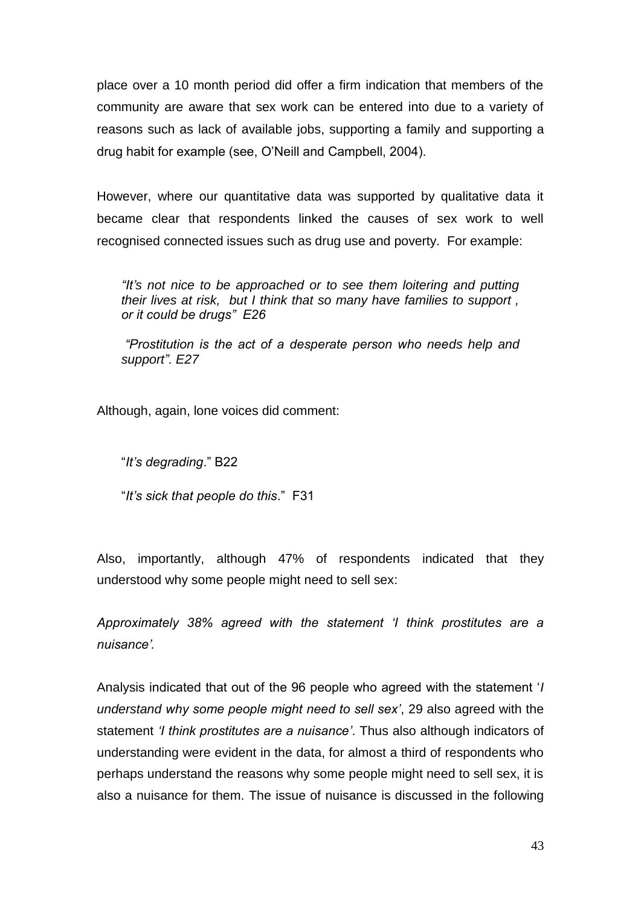place over a 10 month period did offer a firm indication that members of the community are aware that sex work can be entered into due to a variety of reasons such as lack of available jobs, supporting a family and supporting a drug habit for example (see, O"Neill and Campbell, 2004).

However, where our quantitative data was supported by qualitative data it became clear that respondents linked the causes of sex work to well recognised connected issues such as drug use and poverty. For example:

*"It"s not nice to be approached or to see them loitering and putting their lives at risk, but I think that so many have families to support , or it could be drugs" E26*

*"Prostitution is the act of a desperate person who needs help and support". E27*

Although, again, lone voices did comment:

"*It"s degrading*." B22

"*It"s sick that people do this*." F31

Also, importantly, although 47% of respondents indicated that they understood why some people might need to sell sex:

*Approximately 38% agreed with the statement "I think prostitutes are a nuisance".* 

Analysis indicated that out of the 96 people who agreed with the statement "*I understand why some people might need to sell sex"*, 29 also agreed with the statement *"I think prostitutes are a nuisance"*. Thus also although indicators of understanding were evident in the data, for almost a third of respondents who perhaps understand the reasons why some people might need to sell sex, it is also a nuisance for them. The issue of nuisance is discussed in the following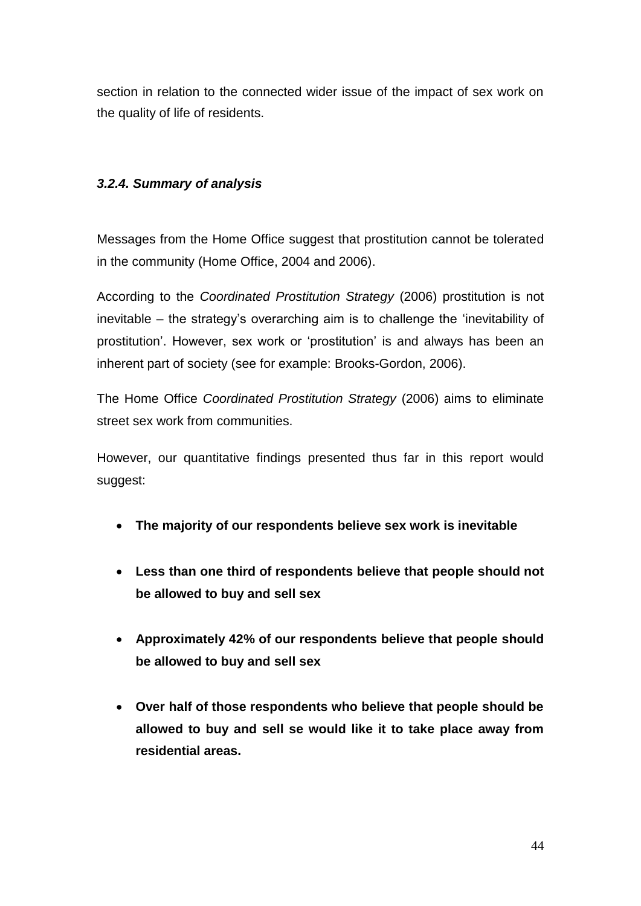section in relation to the connected wider issue of the impact of sex work on the quality of life of residents.

# *3.2.4. Summary of analysis*

Messages from the Home Office suggest that prostitution cannot be tolerated in the community (Home Office, 2004 and 2006).

According to the *Coordinated Prostitution Strategy* (2006) prostitution is not inevitable – the strategy"s overarching aim is to challenge the "inevitability of prostitution". However, sex work or "prostitution" is and always has been an inherent part of society (see for example: Brooks-Gordon, 2006).

The Home Office *Coordinated Prostitution Strategy* (2006) aims to eliminate street sex work from communities.

However, our quantitative findings presented thus far in this report would suggest:

- **The majority of our respondents believe sex work is inevitable**
- **Less than one third of respondents believe that people should not be allowed to buy and sell sex**
- **Approximately 42% of our respondents believe that people should be allowed to buy and sell sex**
- **Over half of those respondents who believe that people should be allowed to buy and sell se would like it to take place away from residential areas.**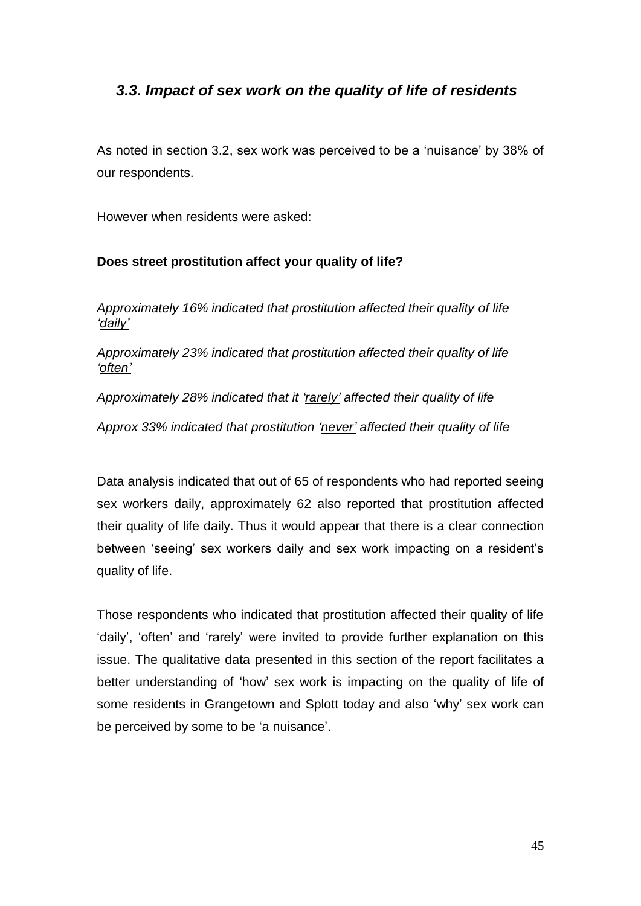# *3.3. Impact of sex work on the quality of life of residents*

As noted in section 3.2, sex work was perceived to be a "nuisance" by 38% of our respondents.

However when residents were asked:

# **Does street prostitution affect your quality of life?**

*Approximately 16% indicated that prostitution affected their quality of life "daily"*

*Approximately 23% indicated that prostitution affected their quality of life "often"*

*Approximately 28% indicated that it "rarely" affected their quality of life* 

*Approx 33% indicated that prostitution "never" affected their quality of life*

Data analysis indicated that out of 65 of respondents who had reported seeing sex workers daily, approximately 62 also reported that prostitution affected their quality of life daily. Thus it would appear that there is a clear connection between "seeing" sex workers daily and sex work impacting on a resident"s quality of life.

Those respondents who indicated that prostitution affected their quality of life "daily", "often" and "rarely" were invited to provide further explanation on this issue. The qualitative data presented in this section of the report facilitates a better understanding of "how" sex work is impacting on the quality of life of some residents in Grangetown and Splott today and also "why" sex work can be perceived by some to be 'a nuisance'.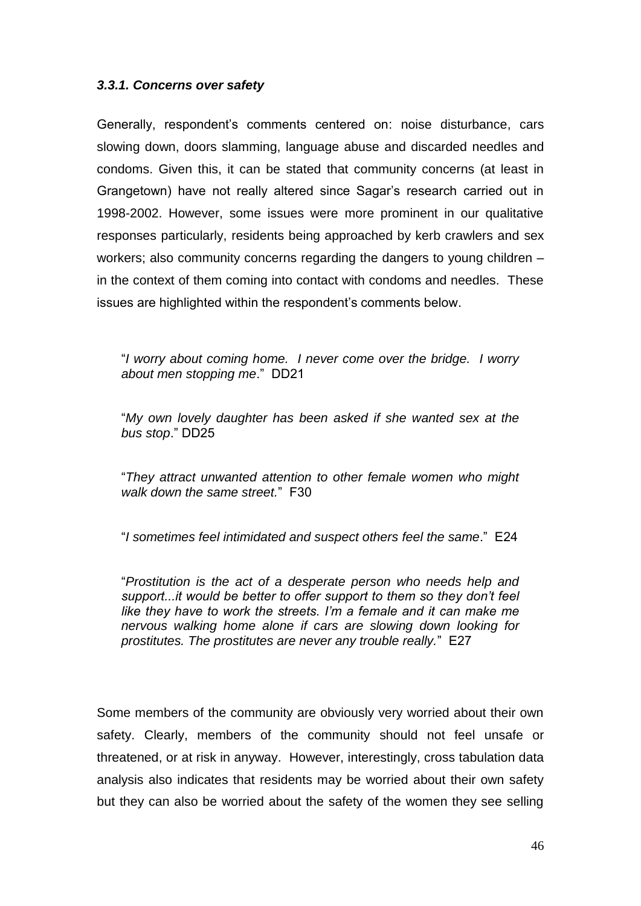## *3.3.1. Concerns over safety*

Generally, respondent"s comments centered on: noise disturbance, cars slowing down, doors slamming, language abuse and discarded needles and condoms. Given this, it can be stated that community concerns (at least in Grangetown) have not really altered since Sagar"s research carried out in 1998-2002. However, some issues were more prominent in our qualitative responses particularly, residents being approached by kerb crawlers and sex workers; also community concerns regarding the dangers to young children – in the context of them coming into contact with condoms and needles. These issues are highlighted within the respondent's comments below.

"*I worry about coming home. I never come over the bridge. I worry about men stopping me*." DD21

"*My own lovely daughter has been asked if she wanted sex at the bus stop*." DD25

"*They attract unwanted attention to other female women who might walk down the same street.*" F30

"*I sometimes feel intimidated and suspect others feel the same*." E24

"*Prostitution is the act of a desperate person who needs help and support...it would be better to offer support to them so they don"t feel like they have to work the streets. I"m a female and it can make me nervous walking home alone if cars are slowing down looking for prostitutes. The prostitutes are never any trouble really.*" E27

Some members of the community are obviously very worried about their own safety. Clearly, members of the community should not feel unsafe or threatened, or at risk in anyway. However, interestingly, cross tabulation data analysis also indicates that residents may be worried about their own safety but they can also be worried about the safety of the women they see selling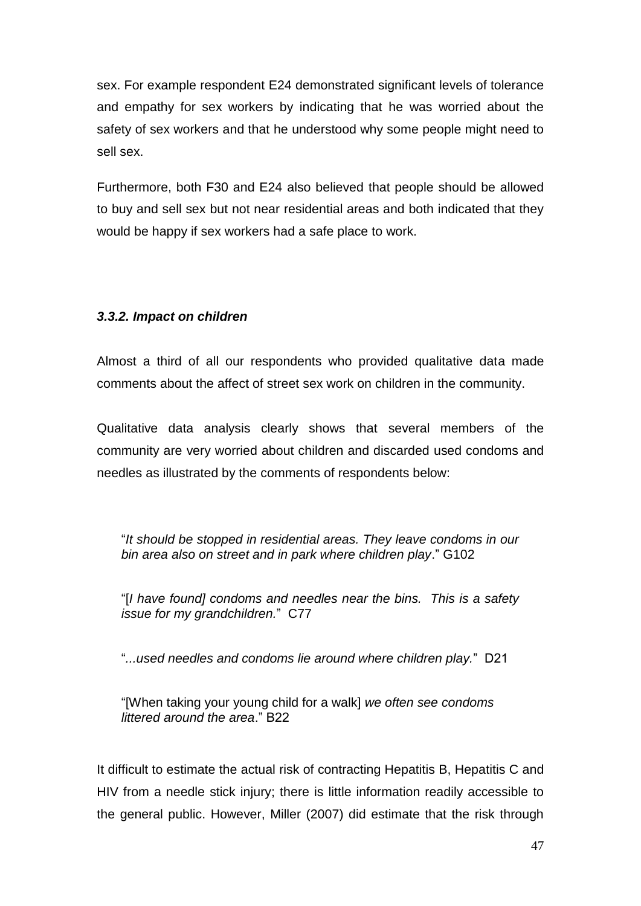sex. For example respondent E24 demonstrated significant levels of tolerance and empathy for sex workers by indicating that he was worried about the safety of sex workers and that he understood why some people might need to sell sex.

Furthermore, both F30 and E24 also believed that people should be allowed to buy and sell sex but not near residential areas and both indicated that they would be happy if sex workers had a safe place to work.

# *3.3.2. Impact on children*

Almost a third of all our respondents who provided qualitative data made comments about the affect of street sex work on children in the community.

Qualitative data analysis clearly shows that several members of the community are very worried about children and discarded used condoms and needles as illustrated by the comments of respondents below:

"*It should be stopped in residential areas. They leave condoms in our bin area also on street and in park where children play*." G102

"[*I have found] condoms and needles near the bins. This is a safety issue for my grandchildren.*" C77

"*...used needles and condoms lie around where children play.*" D21

"[When taking your young child for a walk] *we often see condoms littered around the area*." B22

It difficult to estimate the actual risk of contracting Hepatitis B, Hepatitis C and HIV from a needle stick injury; there is little information readily accessible to the general public. However, Miller (2007) did estimate that the risk through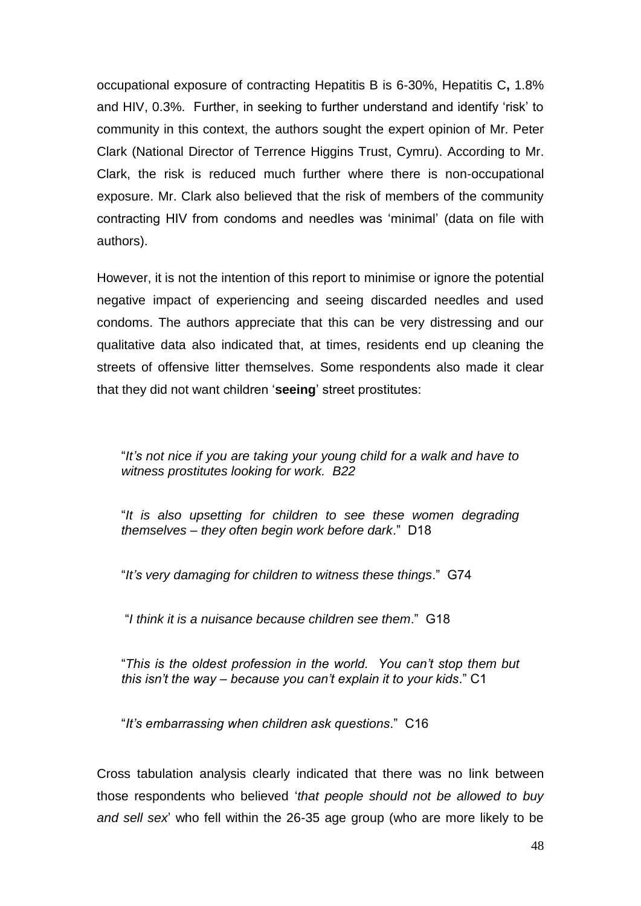occupational exposure of contracting Hepatitis B is 6-30%, Hepatitis C**,** 1.8% and HIV, 0.3%. Further, in seeking to further understand and identify "risk" to community in this context, the authors sought the expert opinion of Mr. Peter Clark (National Director of Terrence Higgins Trust, Cymru). According to Mr. Clark, the risk is reduced much further where there is non-occupational exposure. Mr. Clark also believed that the risk of members of the community contracting HIV from condoms and needles was "minimal" (data on file with authors).

However, it is not the intention of this report to minimise or ignore the potential negative impact of experiencing and seeing discarded needles and used condoms. The authors appreciate that this can be very distressing and our qualitative data also indicated that, at times, residents end up cleaning the streets of offensive litter themselves. Some respondents also made it clear that they did not want children "**seeing**" street prostitutes:

"*It"s not nice if you are taking your young child for a walk and have to witness prostitutes looking for work. B22*

"*It is also upsetting for children to see these women degrading themselves – they often begin work before dark*." D18

"*It"s very damaging for children to witness these things*." G74

"*I think it is a nuisance because children see them*." G18

"*This is the oldest profession in the world. You can"t stop them but this isn"t the way – because you can"t explain it to your kids*." C1

"*It"s embarrassing when children ask questions*." C16

Cross tabulation analysis clearly indicated that there was no link between those respondents who believed "*that people should not be allowed to buy and sell sex*" who fell within the 26-35 age group (who are more likely to be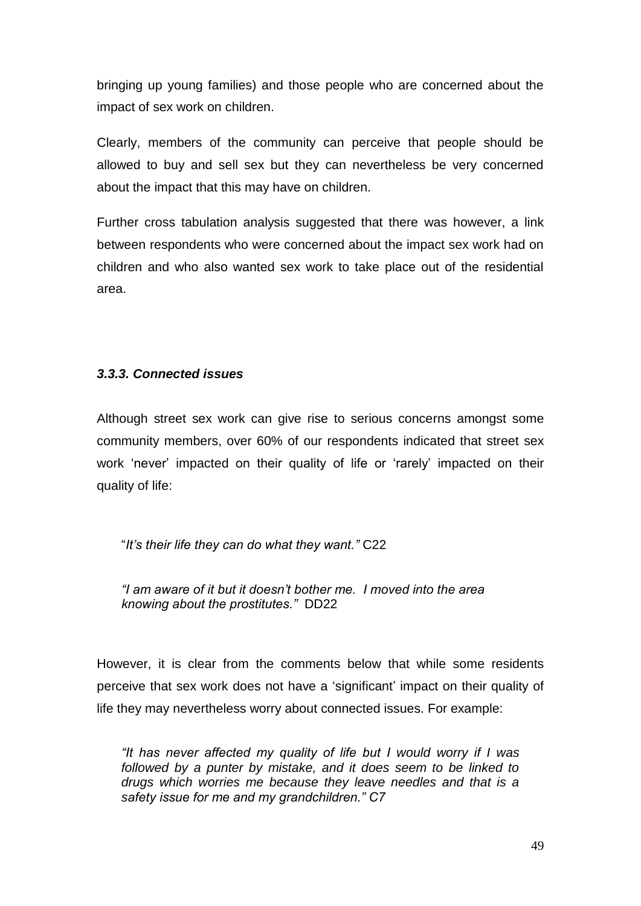bringing up young families) and those people who are concerned about the impact of sex work on children.

Clearly, members of the community can perceive that people should be allowed to buy and sell sex but they can nevertheless be very concerned about the impact that this may have on children.

Further cross tabulation analysis suggested that there was however, a link between respondents who were concerned about the impact sex work had on children and who also wanted sex work to take place out of the residential area.

# *3.3.3. Connected issues*

Although street sex work can give rise to serious concerns amongst some community members, over 60% of our respondents indicated that street sex work 'never' impacted on their quality of life or 'rarely' impacted on their quality of life:

"*It"s their life they can do what they want."* C22

*"I am aware of it but it doesn"t bother me. I moved into the area knowing about the prostitutes."* DD22

However, it is clear from the comments below that while some residents perceive that sex work does not have a "significant" impact on their quality of life they may nevertheless worry about connected issues. For example:

*"It has never affected my quality of life but I would worry if I was followed by a punter by mistake, and it does seem to be linked to drugs which worries me because they leave needles and that is a safety issue for me and my grandchildren." C7*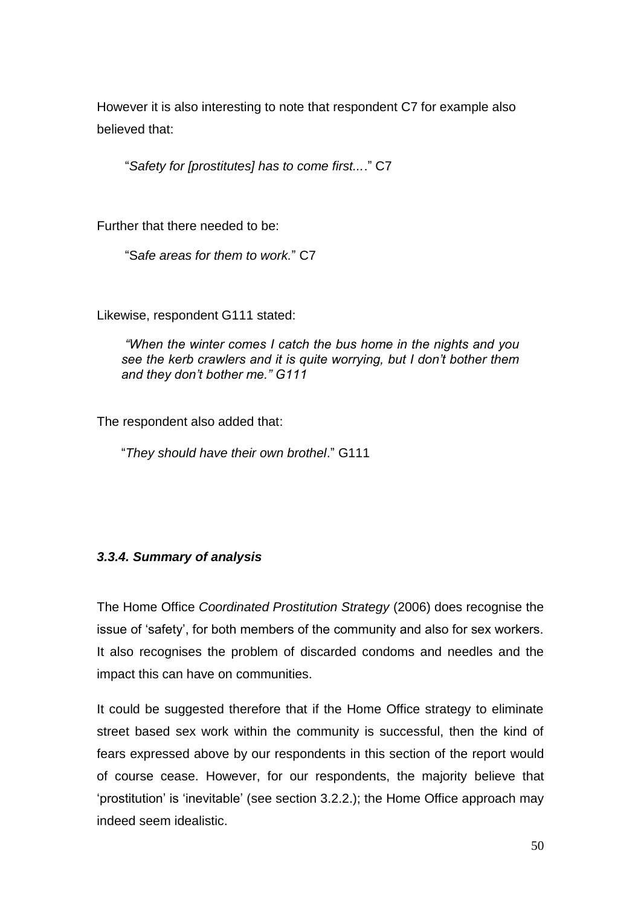However it is also interesting to note that respondent C7 for example also believed that:

"*Safety for [prostitutes] has to come first...*." C7

Further that there needed to be:

"S*afe areas for them to work.*" C7

Likewise, respondent G111 stated:

*"When the winter comes I catch the bus home in the nights and you see the kerb crawlers and it is quite worrying, but I don"t bother them and they don"t bother me." G111*

The respondent also added that:

"*They should have their own brothel*." G111

#### *3.3.4. Summary of analysis*

The Home Office *Coordinated Prostitution Strategy* (2006) does recognise the issue of "safety", for both members of the community and also for sex workers. It also recognises the problem of discarded condoms and needles and the impact this can have on communities.

It could be suggested therefore that if the Home Office strategy to eliminate street based sex work within the community is successful, then the kind of fears expressed above by our respondents in this section of the report would of course cease. However, for our respondents, the majority believe that "prostitution" is "inevitable" (see section 3.2.2.); the Home Office approach may indeed seem idealistic.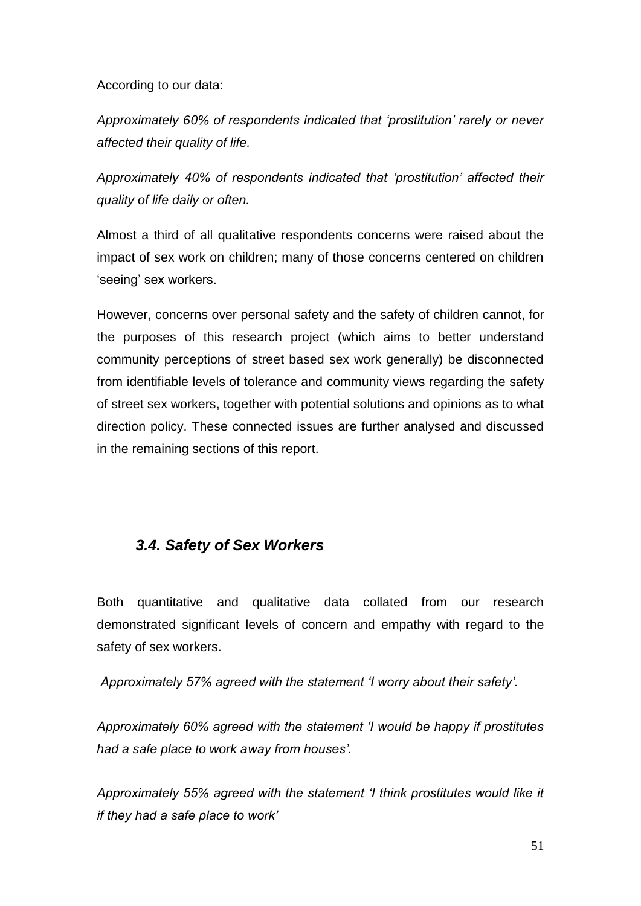According to our data:

*Approximately 60% of respondents indicated that "prostitution" rarely or never affected their quality of life.*

*Approximately 40% of respondents indicated that "prostitution" affected their quality of life daily or often.* 

Almost a third of all qualitative respondents concerns were raised about the impact of sex work on children; many of those concerns centered on children 'seeing' sex workers.

However, concerns over personal safety and the safety of children cannot, for the purposes of this research project (which aims to better understand community perceptions of street based sex work generally) be disconnected from identifiable levels of tolerance and community views regarding the safety of street sex workers, together with potential solutions and opinions as to what direction policy. These connected issues are further analysed and discussed in the remaining sections of this report.

# *3.4. Safety of Sex Workers*

Both quantitative and qualitative data collated from our research demonstrated significant levels of concern and empathy with regard to the safety of sex workers.

*Approximately 57% agreed with the statement "I worry about their safety".*

*Approximately 60% agreed with the statement "I would be happy if prostitutes had a safe place to work away from houses".*

*Approximately 55% agreed with the statement "I think prostitutes would like it if they had a safe place to work"*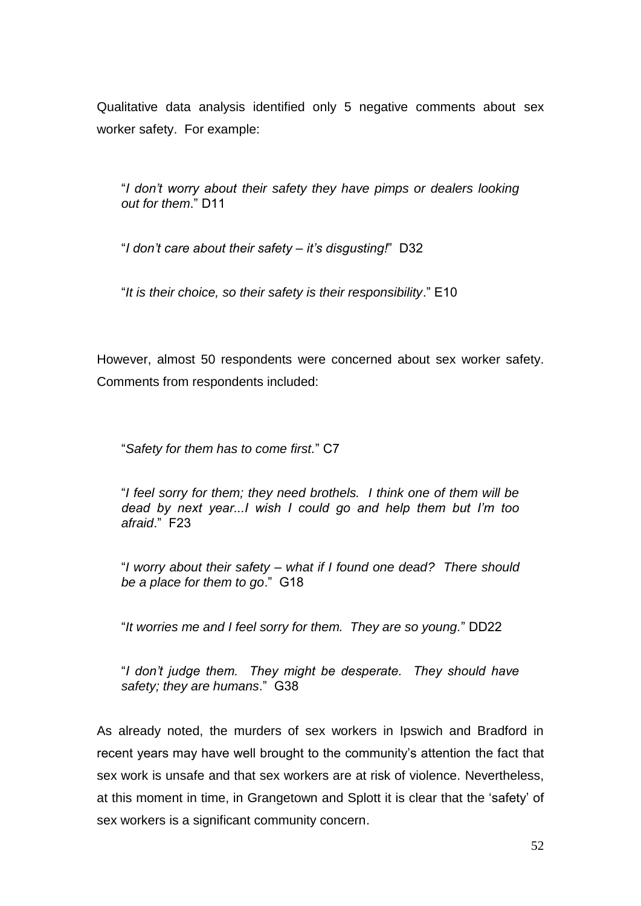Qualitative data analysis identified only 5 negative comments about sex worker safety. For example:

"*I don"t worry about their safety they have pimps or dealers looking out for them*." D11

"*I don"t care about their safety – it"s disgusting!*" D32

"*It is their choice, so their safety is their responsibility*." E10

However, almost 50 respondents were concerned about sex worker safety. Comments from respondents included:

"*Safety for them has to come first.*" C7

"*I feel sorry for them; they need brothels. I think one of them will be dead by next year...I wish I could go and help them but I"m too afraid*." F23

"*I worry about their safety – what if I found one dead? There should be a place for them to go*." G18

"*It worries me and I feel sorry for them. They are so young.*" DD22

"*I don"t judge them. They might be desperate. They should have safety; they are humans*." G38

As already noted, the murders of sex workers in Ipswich and Bradford in recent years may have well brought to the community's attention the fact that sex work is unsafe and that sex workers are at risk of violence. Nevertheless, at this moment in time, in Grangetown and Splott it is clear that the "safety" of sex workers is a significant community concern.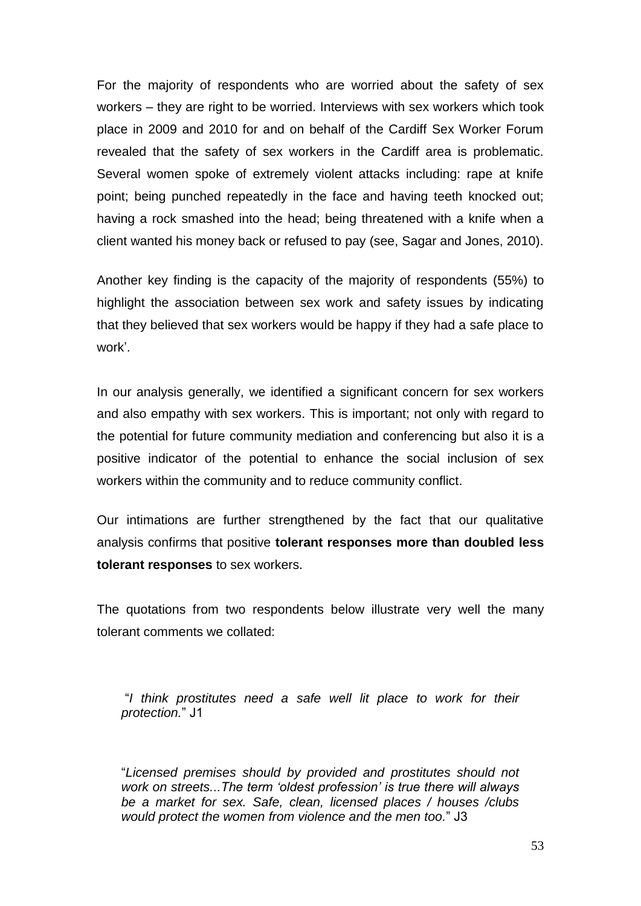For the majority of respondents who are worried about the safety of sex workers – they are right to be worried. Interviews with sex workers which took place in 2009 and 2010 for and on behalf of the Cardiff Sex Worker Forum revealed that the safety of sex workers in the Cardiff area is problematic. Several women spoke of extremely violent attacks including: rape at knife point; being punched repeatedly in the face and having teeth knocked out; having a rock smashed into the head; being threatened with a knife when a client wanted his money back or refused to pay (see, Sagar and Jones, 2010).

Another key finding is the capacity of the majority of respondents (55%) to highlight the association between sex work and safety issues by indicating that they believed that sex workers would be happy if they had a safe place to work'.

In our analysis generally, we identified a significant concern for sex workers and also empathy with sex workers. This is important; not only with regard to the potential for future community mediation and conferencing but also it is a positive indicator of the potential to enhance the social inclusion of sex workers within the community and to reduce community conflict.

Our intimations are further strengthened by the fact that our qualitative analysis confirms that positive **tolerant responses more than doubled less tolerant responses** to sex workers.

The quotations from two respondents below illustrate very well the many tolerant comments we collated:

"*I think prostitutes need a safe well lit place to work for their protection.*" J1

"*Licensed premises should by provided and prostitutes should not work on streets...The term "oldest profession" is true there will always be a market for sex. Safe, clean, licensed places / houses /clubs would protect the women from violence and the men too.*" J3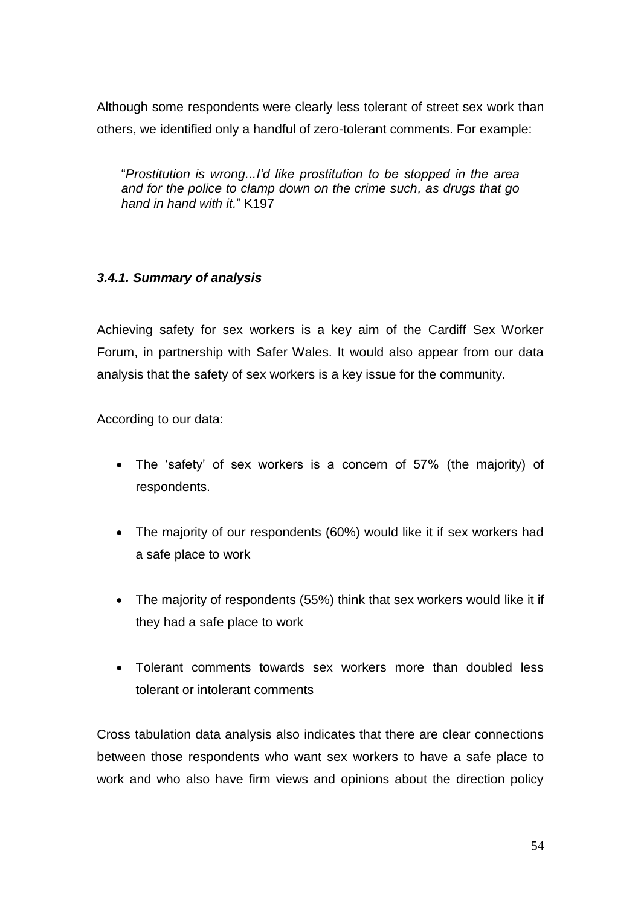Although some respondents were clearly less tolerant of street sex work than others, we identified only a handful of zero-tolerant comments. For example:

"*Prostitution is wrong...I"d like prostitution to be stopped in the area and for the police to clamp down on the crime such, as drugs that go hand in hand with it.*" K197

# *3.4.1. Summary of analysis*

Achieving safety for sex workers is a key aim of the Cardiff Sex Worker Forum, in partnership with Safer Wales. It would also appear from our data analysis that the safety of sex workers is a key issue for the community.

According to our data:

- The "safety" of sex workers is a concern of 57% (the majority) of respondents.
- The majority of our respondents (60%) would like it if sex workers had a safe place to work
- The majority of respondents (55%) think that sex workers would like it if they had a safe place to work
- Tolerant comments towards sex workers more than doubled less tolerant or intolerant comments

Cross tabulation data analysis also indicates that there are clear connections between those respondents who want sex workers to have a safe place to work and who also have firm views and opinions about the direction policy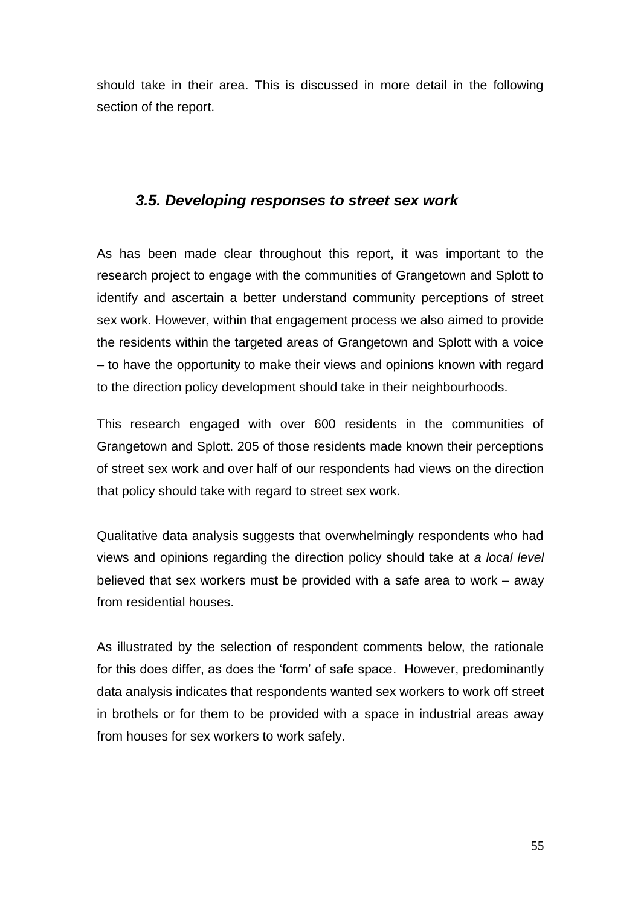should take in their area. This is discussed in more detail in the following section of the report.

# *3.5. Developing responses to street sex work*

As has been made clear throughout this report, it was important to the research project to engage with the communities of Grangetown and Splott to identify and ascertain a better understand community perceptions of street sex work. However, within that engagement process we also aimed to provide the residents within the targeted areas of Grangetown and Splott with a voice – to have the opportunity to make their views and opinions known with regard to the direction policy development should take in their neighbourhoods.

This research engaged with over 600 residents in the communities of Grangetown and Splott. 205 of those residents made known their perceptions of street sex work and over half of our respondents had views on the direction that policy should take with regard to street sex work.

Qualitative data analysis suggests that overwhelmingly respondents who had views and opinions regarding the direction policy should take at *a local level* believed that sex workers must be provided with a safe area to work – away from residential houses.

As illustrated by the selection of respondent comments below, the rationale for this does differ, as does the "form" of safe space. However, predominantly data analysis indicates that respondents wanted sex workers to work off street in brothels or for them to be provided with a space in industrial areas away from houses for sex workers to work safely.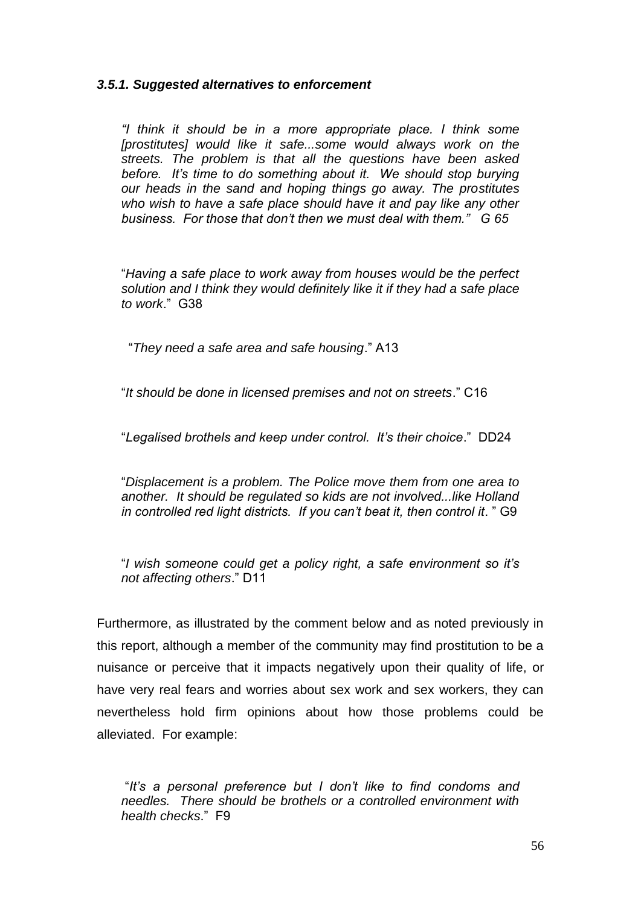#### *3.5.1. Suggested alternatives to enforcement*

*"I think it should be in a more appropriate place. I think some*  [prostitutes] would like it safe...some would always work on the *streets. The problem is that all the questions have been asked before. It"s time to do something about it. We should stop burying our heads in the sand and hoping things go away. The prostitutes who wish to have a safe place should have it and pay like any other business. For those that don"t then we must deal with them." G 65*

"*Having a safe place to work away from houses would be the perfect solution and I think they would definitely like it if they had a safe place to work*." G38

"*They need a safe area and safe housing*." A13

"*It should be done in licensed premises and not on streets*." C16

"*Legalised brothels and keep under control. It"s their choice*." DD24

"*Displacement is a problem. The Police move them from one area to another. It should be regulated so kids are not involved...like Holland in controlled red light districts. If you can"t beat it, then control it*. " G9

"*I wish someone could get a policy right, a safe environment so it"s not affecting others*." D11

Furthermore, as illustrated by the comment below and as noted previously in this report, although a member of the community may find prostitution to be a nuisance or perceive that it impacts negatively upon their quality of life, or have very real fears and worries about sex work and sex workers, they can nevertheless hold firm opinions about how those problems could be alleviated. For example:

"*It"s a personal preference but I don"t like to find condoms and needles. There should be brothels or a controlled environment with health checks*." F9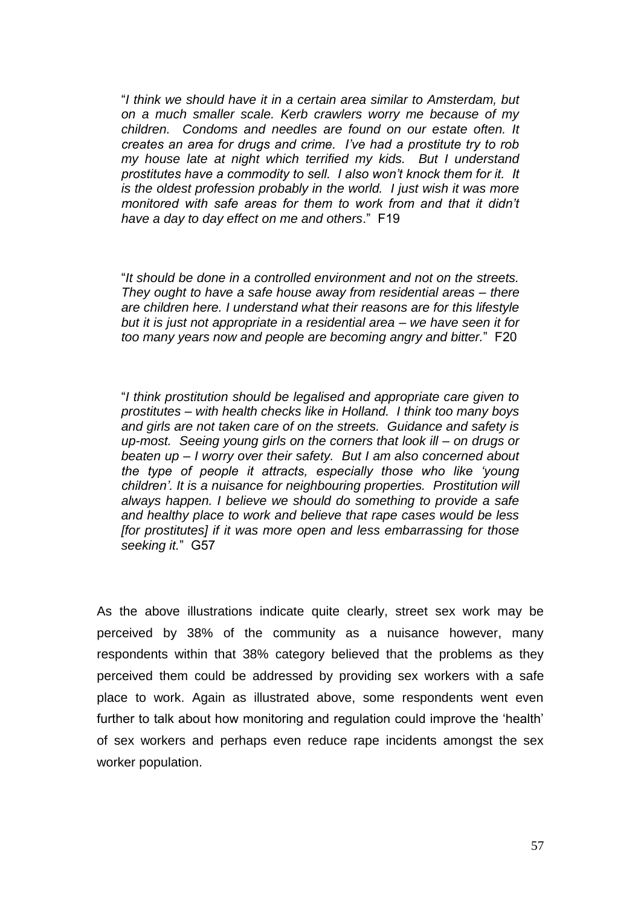"*I think we should have it in a certain area similar to Amsterdam, but on a much smaller scale. Kerb crawlers worry me because of my children. Condoms and needles are found on our estate often. It creates an area for drugs and crime. I"ve had a prostitute try to rob my house late at night which terrified my kids. But I understand prostitutes have a commodity to sell. I also won"t knock them for it. It is the oldest profession probably in the world. I just wish it was more monitored with safe areas for them to work from and that it didn"t have a day to day effect on me and others*." F19

"*It should be done in a controlled environment and not on the streets. They ought to have a safe house away from residential areas – there are children here. I understand what their reasons are for this lifestyle but it is just not appropriate in a residential area – we have seen it for too many years now and people are becoming angry and bitter.*" F20

"*I think prostitution should be legalised and appropriate care given to prostitutes – with health checks like in Holland. I think too many boys and girls are not taken care of on the streets. Guidance and safety is up-most. Seeing young girls on the corners that look ill – on drugs or beaten up – I worry over their safety. But I am also concerned about the type of people it attracts, especially those who like "young children". It is a nuisance for neighbouring properties. Prostitution will always happen. I believe we should do something to provide a safe and healthy place to work and believe that rape cases would be less [for prostitutes] if it was more open and less embarrassing for those seeking it.*" G57

As the above illustrations indicate quite clearly, street sex work may be perceived by 38% of the community as a nuisance however, many respondents within that 38% category believed that the problems as they perceived them could be addressed by providing sex workers with a safe place to work. Again as illustrated above, some respondents went even further to talk about how monitoring and regulation could improve the 'health' of sex workers and perhaps even reduce rape incidents amongst the sex worker population.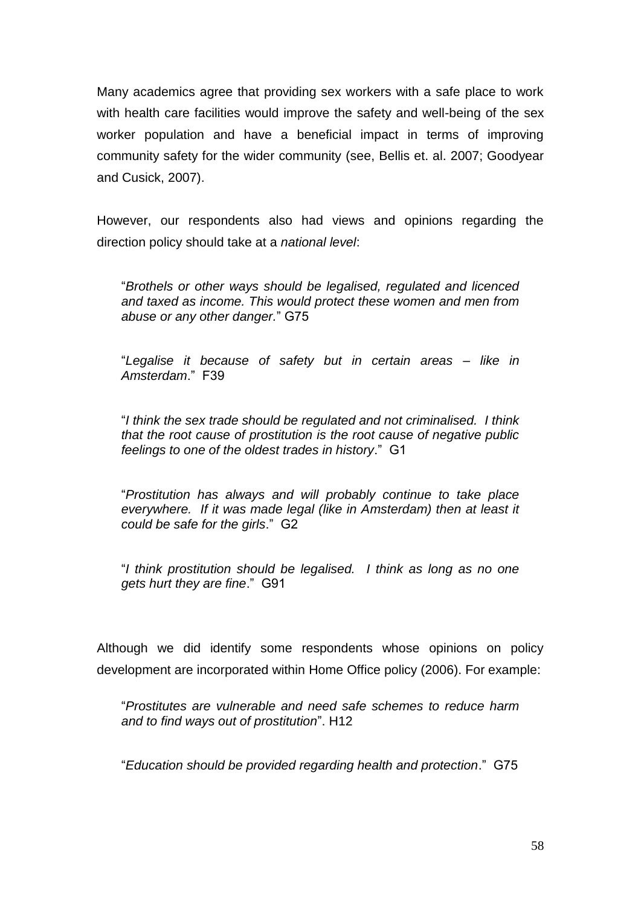Many academics agree that providing sex workers with a safe place to work with health care facilities would improve the safety and well-being of the sex worker population and have a beneficial impact in terms of improving community safety for the wider community (see, Bellis et. al. 2007; Goodyear and Cusick, 2007).

However, our respondents also had views and opinions regarding the direction policy should take at a *national level*:

"*Brothels or other ways should be legalised, regulated and licenced and taxed as income. This would protect these women and men from abuse or any other danger.*" G75

"*Legalise it because of safety but in certain areas – like in Amsterdam*." F39

"*I think the sex trade should be regulated and not criminalised. I think that the root cause of prostitution is the root cause of negative public feelings to one of the oldest trades in history*." G1

"*Prostitution has always and will probably continue to take place everywhere. If it was made legal (like in Amsterdam) then at least it could be safe for the girls*." G2

"*I think prostitution should be legalised. I think as long as no one gets hurt they are fine*." G91

Although we did identify some respondents whose opinions on policy development are incorporated within Home Office policy (2006). For example:

"*Prostitutes are vulnerable and need safe schemes to reduce harm and to find ways out of prostitution*". H12

"*Education should be provided regarding health and protection*." G75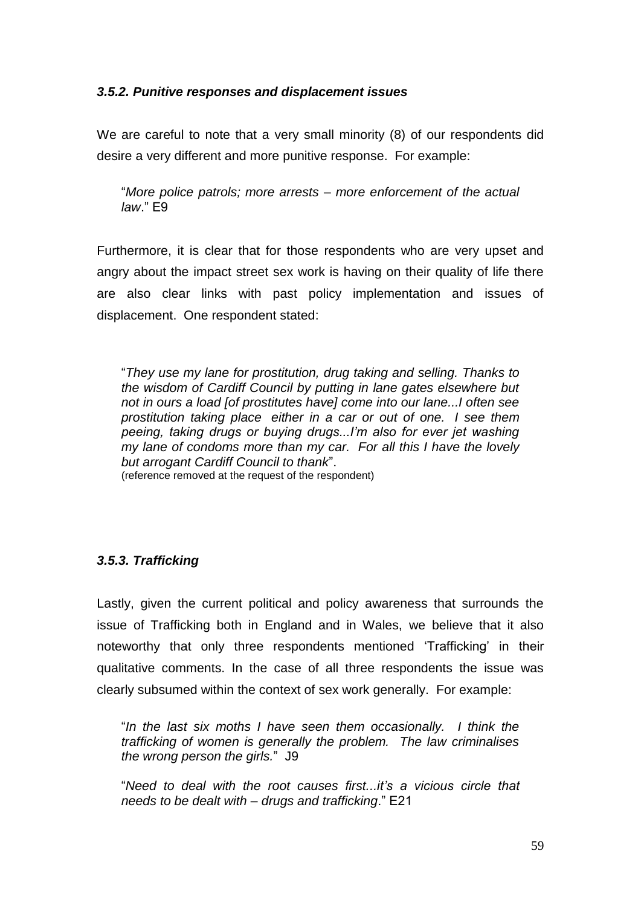## *3.5.2. Punitive responses and displacement issues*

We are careful to note that a very small minority (8) of our respondents did desire a very different and more punitive response. For example:

"*More police patrols; more arrests – more enforcement of the actual law*." E9

Furthermore, it is clear that for those respondents who are very upset and angry about the impact street sex work is having on their quality of life there are also clear links with past policy implementation and issues of displacement. One respondent stated:

"*They use my lane for prostitution, drug taking and selling. Thanks to the wisdom of Cardiff Council by putting in lane gates elsewhere but not in ours a load [of prostitutes have] come into our lane...I often see prostitution taking place either in a car or out of one. I see them peeing, taking drugs or buying drugs...I"m also for ever jet washing my lane of condoms more than my car. For all this I have the lovely but arrogant Cardiff Council to thank*". (reference removed at the request of the respondent)

# *3.5.3. Trafficking*

Lastly, given the current political and policy awareness that surrounds the issue of Trafficking both in England and in Wales, we believe that it also noteworthy that only three respondents mentioned "Trafficking" in their qualitative comments. In the case of all three respondents the issue was clearly subsumed within the context of sex work generally. For example:

"*In the last six moths I have seen them occasionally. I think the trafficking of women is generally the problem. The law criminalises the wrong person the girls.*" J9

"*Need to deal with the root causes first...it"s a vicious circle that needs to be dealt with – drugs and trafficking*." E21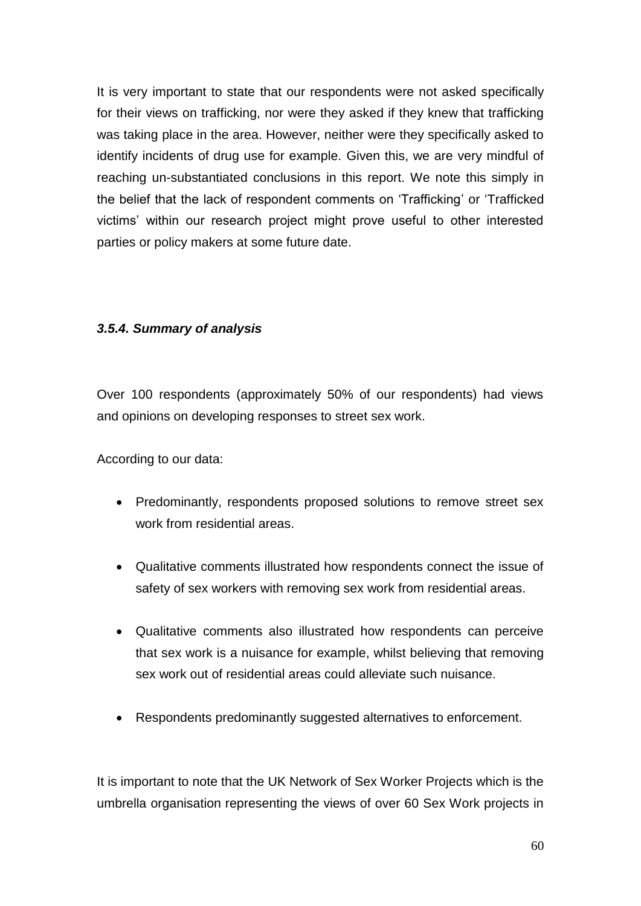It is very important to state that our respondents were not asked specifically for their views on trafficking, nor were they asked if they knew that trafficking was taking place in the area. However, neither were they specifically asked to identify incidents of drug use for example. Given this, we are very mindful of reaching un-substantiated conclusions in this report. We note this simply in the belief that the lack of respondent comments on "Trafficking" or "Trafficked victims" within our research project might prove useful to other interested parties or policy makers at some future date.

## *3.5.4. Summary of analysis*

Over 100 respondents (approximately 50% of our respondents) had views and opinions on developing responses to street sex work.

According to our data:

- Predominantly, respondents proposed solutions to remove street sex work from residential areas.
- Qualitative comments illustrated how respondents connect the issue of safety of sex workers with removing sex work from residential areas.
- Qualitative comments also illustrated how respondents can perceive that sex work is a nuisance for example, whilst believing that removing sex work out of residential areas could alleviate such nuisance.
- Respondents predominantly suggested alternatives to enforcement.

It is important to note that the UK Network of Sex Worker Projects which is the umbrella organisation representing the views of over 60 Sex Work projects in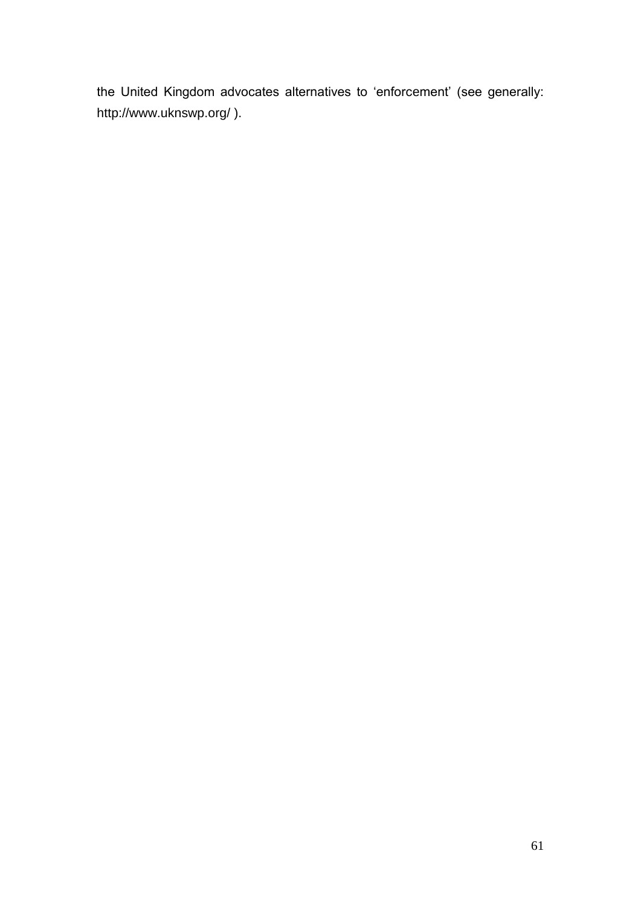the United Kingdom advocates alternatives to 'enforcement' (see generally: http://www.uknswp.org/ ).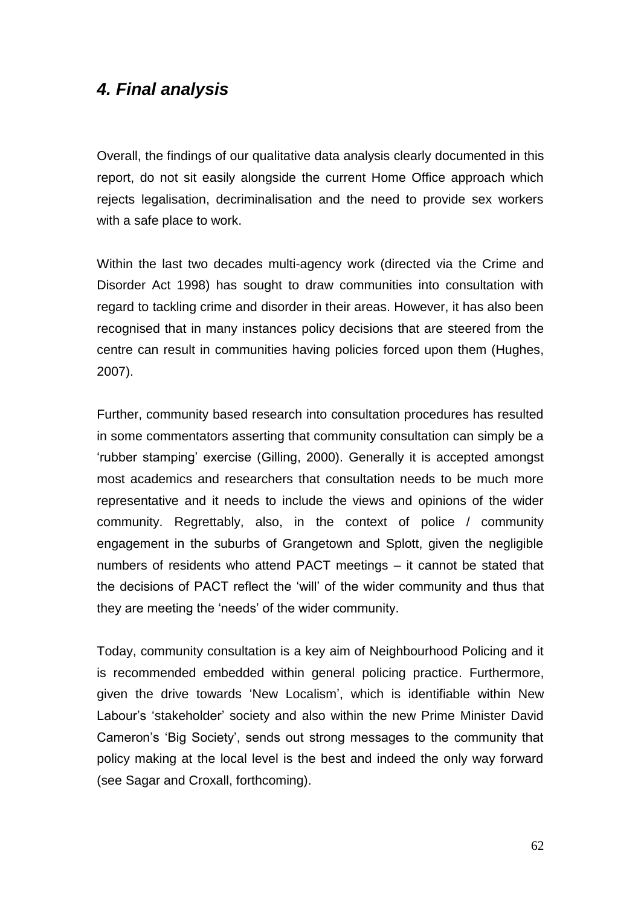# *4. Final analysis*

Overall, the findings of our qualitative data analysis clearly documented in this report, do not sit easily alongside the current Home Office approach which rejects legalisation, decriminalisation and the need to provide sex workers with a safe place to work.

Within the last two decades multi-agency work (directed via the Crime and Disorder Act 1998) has sought to draw communities into consultation with regard to tackling crime and disorder in their areas. However, it has also been recognised that in many instances policy decisions that are steered from the centre can result in communities having policies forced upon them (Hughes, 2007).

Further, community based research into consultation procedures has resulted in some commentators asserting that community consultation can simply be a "rubber stamping" exercise (Gilling, 2000). Generally it is accepted amongst most academics and researchers that consultation needs to be much more representative and it needs to include the views and opinions of the wider community. Regrettably, also, in the context of police / community engagement in the suburbs of Grangetown and Splott, given the negligible numbers of residents who attend PACT meetings – it cannot be stated that the decisions of PACT reflect the "will" of the wider community and thus that they are meeting the "needs" of the wider community.

Today, community consultation is a key aim of Neighbourhood Policing and it is recommended embedded within general policing practice. Furthermore, given the drive towards "New Localism", which is identifiable within New Labour"s "stakeholder" society and also within the new Prime Minister David Cameron"s "Big Society", sends out strong messages to the community that policy making at the local level is the best and indeed the only way forward (see Sagar and Croxall, forthcoming).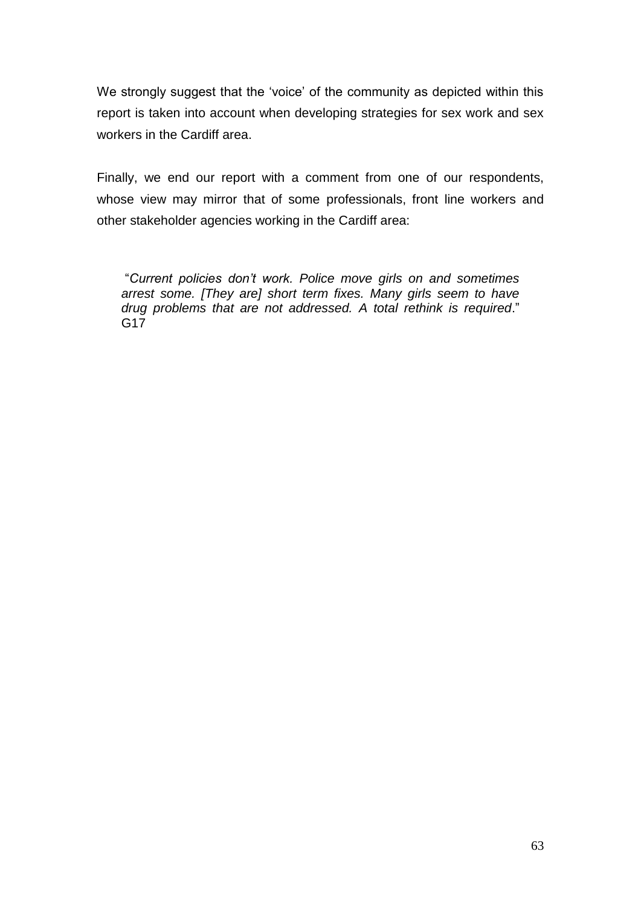We strongly suggest that the 'voice' of the community as depicted within this report is taken into account when developing strategies for sex work and sex workers in the Cardiff area.

Finally, we end our report with a comment from one of our respondents, whose view may mirror that of some professionals, front line workers and other stakeholder agencies working in the Cardiff area:

"*Current policies don"t work. Police move girls on and sometimes arrest some. [They are] short term fixes. Many girls seem to have drug problems that are not addressed. A total rethink is required*." G17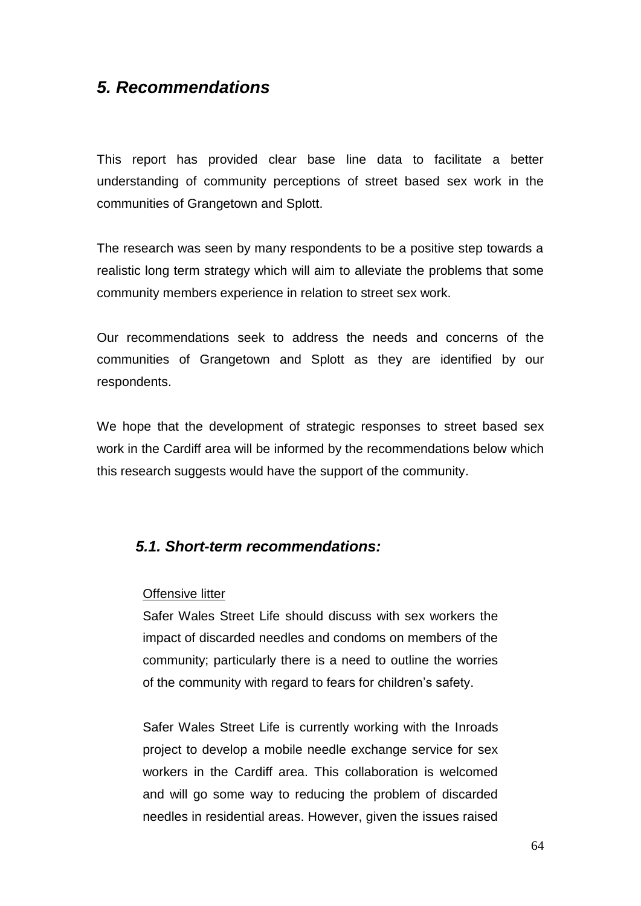# *5. Recommendations*

This report has provided clear base line data to facilitate a better understanding of community perceptions of street based sex work in the communities of Grangetown and Splott.

The research was seen by many respondents to be a positive step towards a realistic long term strategy which will aim to alleviate the problems that some community members experience in relation to street sex work.

Our recommendations seek to address the needs and concerns of the communities of Grangetown and Splott as they are identified by our respondents.

We hope that the development of strategic responses to street based sex work in the Cardiff area will be informed by the recommendations below which this research suggests would have the support of the community.

#### *5.1. Short-term recommendations:*

#### Offensive litter

Safer Wales Street Life should discuss with sex workers the impact of discarded needles and condoms on members of the community; particularly there is a need to outline the worries of the community with regard to fears for children"s safety.

Safer Wales Street Life is currently working with the Inroads project to develop a mobile needle exchange service for sex workers in the Cardiff area. This collaboration is welcomed and will go some way to reducing the problem of discarded needles in residential areas. However, given the issues raised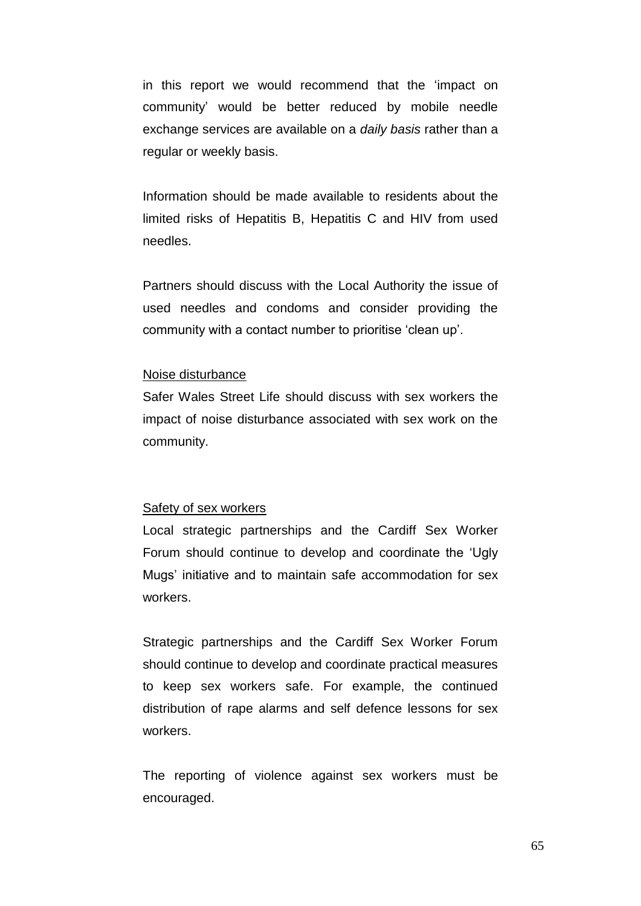in this report we would recommend that the "impact on community" would be better reduced by mobile needle exchange services are available on a *daily basis* rather than a regular or weekly basis.

Information should be made available to residents about the limited risks of Hepatitis B, Hepatitis C and HIV from used needles.

Partners should discuss with the Local Authority the issue of used needles and condoms and consider providing the community with a contact number to prioritise "clean up".

#### Noise disturbance

Safer Wales Street Life should discuss with sex workers the impact of noise disturbance associated with sex work on the community.

#### Safety of sex workers

Local strategic partnerships and the Cardiff Sex Worker Forum should continue to develop and coordinate the "Ugly Mugs" initiative and to maintain safe accommodation for sex workers.

Strategic partnerships and the Cardiff Sex Worker Forum should continue to develop and coordinate practical measures to keep sex workers safe. For example, the continued distribution of rape alarms and self defence lessons for sex workers.

The reporting of violence against sex workers must be encouraged.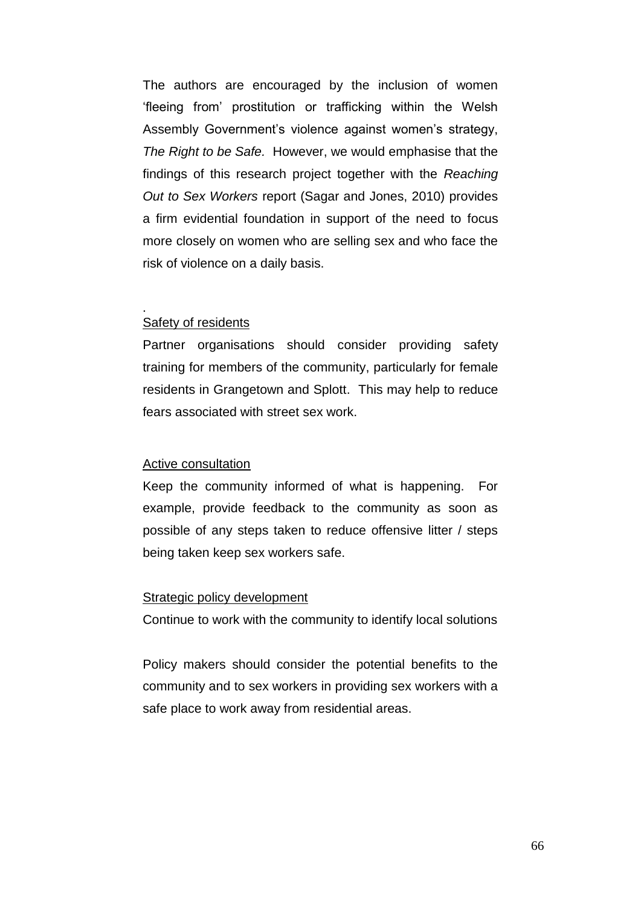The authors are encouraged by the inclusion of women "fleeing from" prostitution or trafficking within the Welsh Assembly Government's violence against women's strategy, *The Right to be Safe.* However, we would emphasise that the findings of this research project together with the *Reaching Out to Sex Workers* report (Sagar and Jones, 2010) provides a firm evidential foundation in support of the need to focus more closely on women who are selling sex and who face the risk of violence on a daily basis.

#### Safety of residents

.

Partner organisations should consider providing safety training for members of the community, particularly for female residents in Grangetown and Splott. This may help to reduce fears associated with street sex work.

#### Active consultation

Keep the community informed of what is happening. For example, provide feedback to the community as soon as possible of any steps taken to reduce offensive litter / steps being taken keep sex workers safe.

#### Strategic policy development

Continue to work with the community to identify local solutions

Policy makers should consider the potential benefits to the community and to sex workers in providing sex workers with a safe place to work away from residential areas.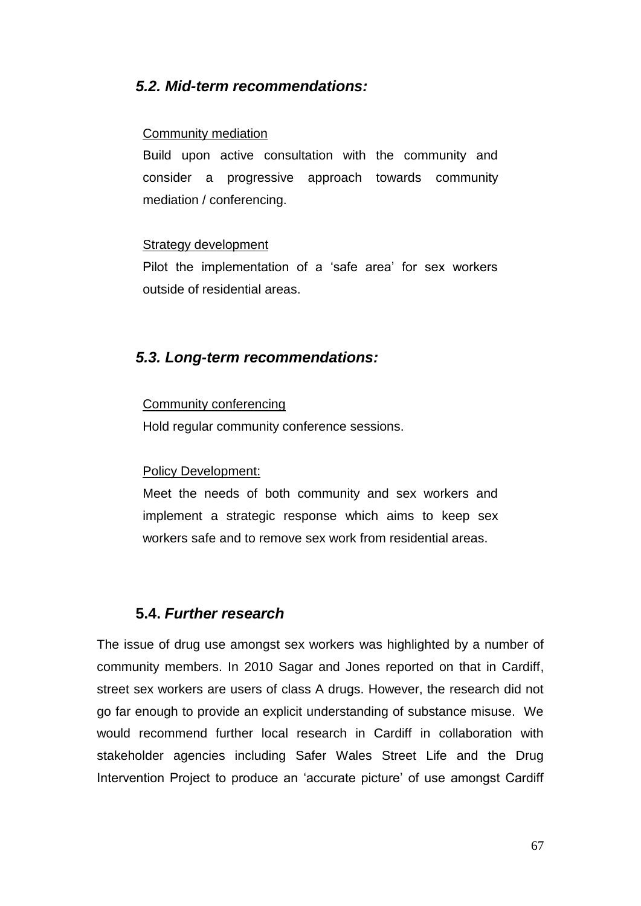# *5.2. Mid-term recommendations:*

#### Community mediation

Build upon active consultation with the community and consider a progressive approach towards community mediation / conferencing.

#### Strategy development

Pilot the implementation of a 'safe area' for sex workers outside of residential areas.

## *5.3. Long-term recommendations:*

#### Community conferencing

Hold regular community conference sessions.

#### Policy Development:

Meet the needs of both community and sex workers and implement a strategic response which aims to keep sex workers safe and to remove sex work from residential areas.

# **5.4.** *Further research*

The issue of drug use amongst sex workers was highlighted by a number of community members. In 2010 Sagar and Jones reported on that in Cardiff, street sex workers are users of class A drugs. However, the research did not go far enough to provide an explicit understanding of substance misuse. We would recommend further local research in Cardiff in collaboration with stakeholder agencies including Safer Wales Street Life and the Drug Intervention Project to produce an 'accurate picture' of use amongst Cardiff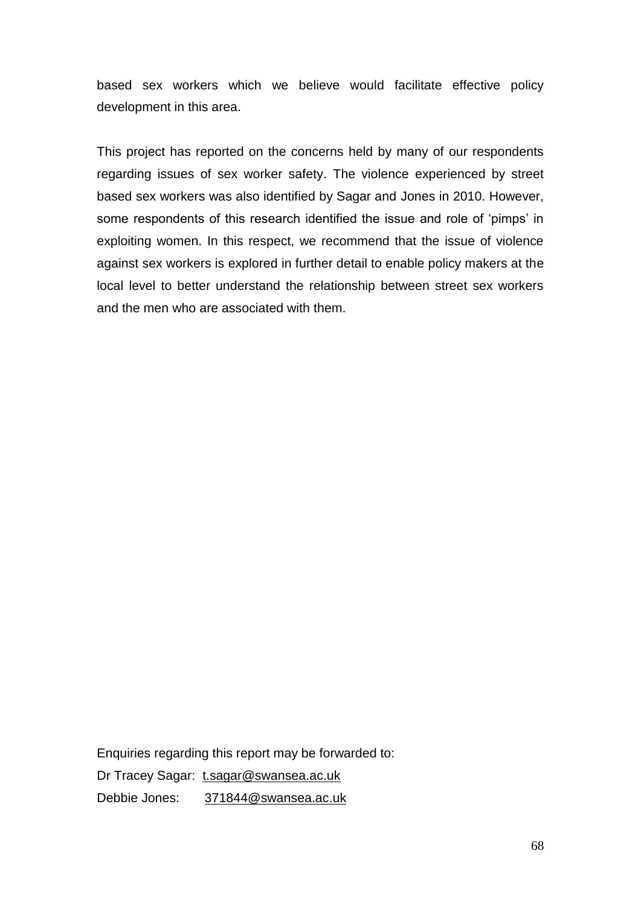based sex workers which we believe would facilitate effective policy development in this area.

This project has reported on the concerns held by many of our respondents regarding issues of sex worker safety. The violence experienced by street based sex workers was also identified by Sagar and Jones in 2010. However, some respondents of this research identified the issue and role of 'pimps' in exploiting women. In this respect, we recommend that the issue of violence against sex workers is explored in further detail to enable policy makers at the local level to better understand the relationship between street sex workers and the men who are associated with them.

Enquiries regarding this report may be forwarded to:

Dr Tracey Sagar: t.sagar@swansea.ac.uk

Debbie Jones: 371844@swansea.ac.uk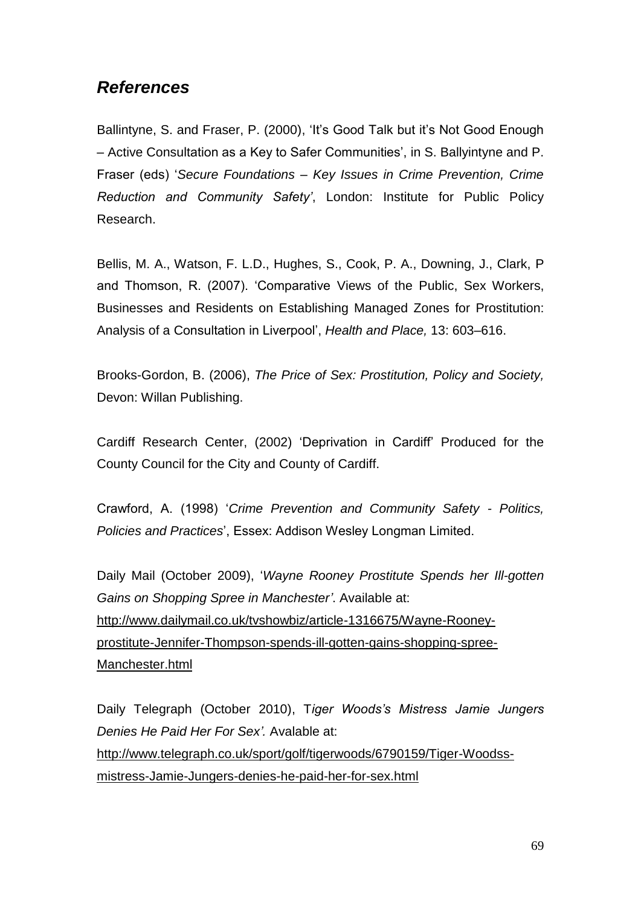# *References*

Ballintyne, S. and Fraser, P. (2000), 'It's Good Talk but it's Not Good Enough – Active Consultation as a Key to Safer Communities", in S. Ballyintyne and P. Fraser (eds) "*Secure Foundations – Key Issues in Crime Prevention, Crime Reduction and Community Safety"*, London: Institute for Public Policy Research.

Bellis, M. A., Watson, F. L.D., Hughes, S., Cook, P. A., Downing, J., Clark, P and Thomson, R. (2007). "Comparative Views of the Public, Sex Workers, Businesses and Residents on Establishing Managed Zones for Prostitution: Analysis of a Consultation in Liverpool", *Health and Place,* 13: 603–616.

Brooks-Gordon, B. (2006), *The Price of Sex: Prostitution, Policy and Society,* Devon: Willan Publishing.

Cardiff Research Center, (2002) "Deprivation in Cardiff" Produced for the County Council for the City and County of Cardiff.

Crawford, A. (1998) "*Crime Prevention and Community Safety - Politics, Policies and Practices*", Essex: Addison Wesley Longman Limited.

Daily Mail (October 2009), "*Wayne Rooney Prostitute Spends her Ill-gotten Gains on Shopping Spree in Manchester"*. Available at: http://www.dailymail.co.uk/tvshowbiz/article-1316675/Wayne-Rooneyprostitute-Jennifer-Thompson-spends-ill-gotten-gains-shopping-spree-Manchester.html

Daily Telegraph (October 2010), T*iger Woods"s Mistress Jamie Jungers Denies He Paid Her For Sex".* Avalable at: http://www.telegraph.co.uk/sport/golf/tigerwoods/6790159/Tiger-Woodssmistress-Jamie-Jungers-denies-he-paid-her-for-sex.html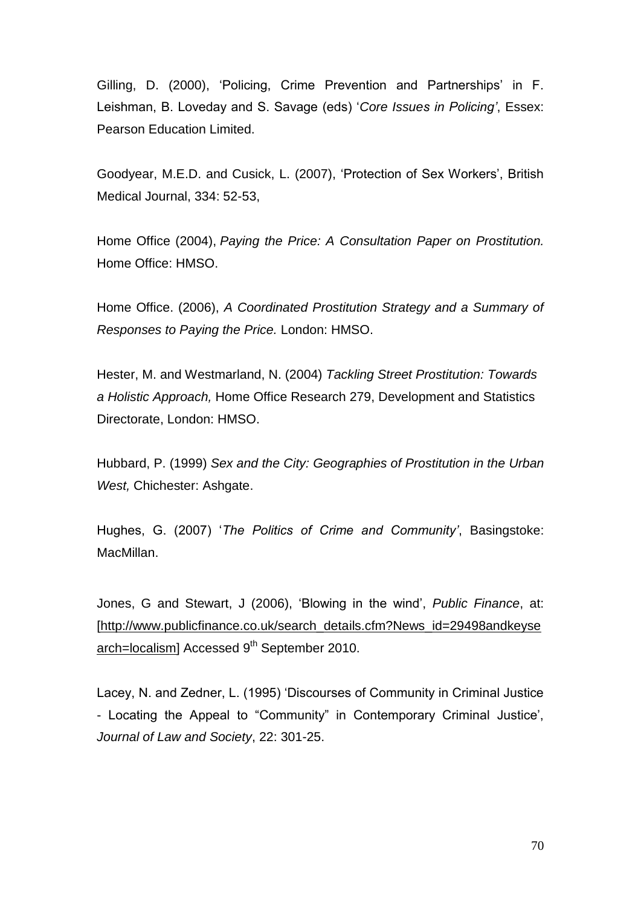Gilling, D. (2000), "Policing, Crime Prevention and Partnerships" in F. Leishman, B. Loveday and S. Savage (eds) "*Core Issues in Policing"*, Essex: Pearson Education Limited.

Goodyear, M.E.D. and Cusick, L. (2007), "Protection of Sex Workers", British Medical Journal, 334: 52-53,

Home Office (2004), *Paying the Price: A Consultation Paper on Prostitution.* Home Office: HMSO.

Home Office. (2006), *A Coordinated Prostitution Strategy and a Summary of Responses to Paying the Price.* London: HMSO.

Hester, M. and Westmarland, N. (2004) *Tackling Street Prostitution: Towards a Holistic Approach,* Home Office Research 279, Development and Statistics Directorate, London: HMSO.

Hubbard, P. (1999) *Sex and the City: Geographies of Prostitution in the Urban West,* Chichester: Ashgate.

Hughes, G. (2007) "*The Politics of Crime and Community"*, Basingstoke: MacMillan.

Jones, G and Stewart, J (2006), "Blowing in the wind", *Public Finance*, at: [http://www.publicfinance.co.uk/search\_details.cfm?News\_id=29498andkeyse arch=localism] Accessed  $9<sup>th</sup>$  September 2010.

Lacey, N. and Zedner, L. (1995) "Discourses of Community in Criminal Justice - Locating the Appeal to "Community" in Contemporary Criminal Justice", *Journal of Law and Society*, 22: 301-25.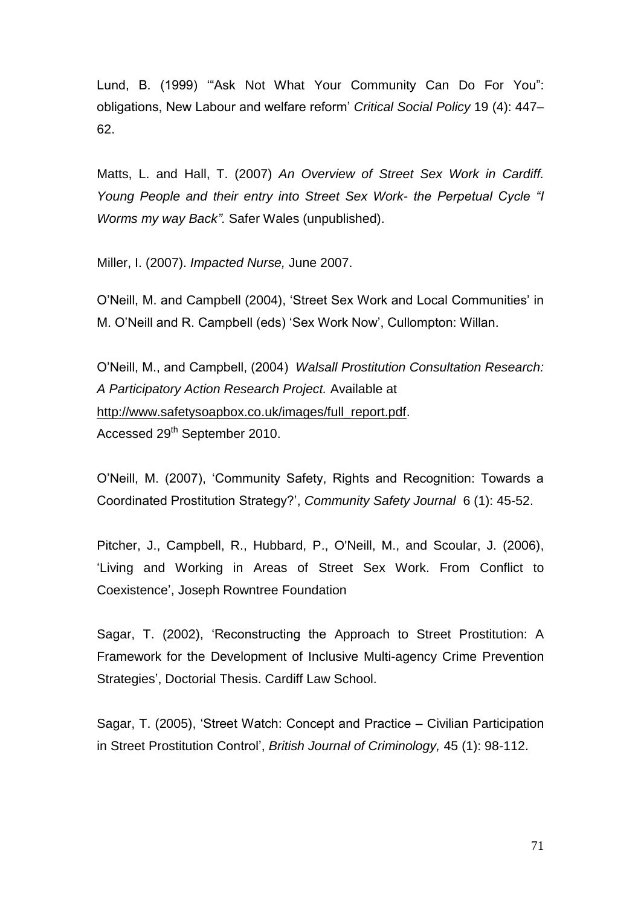Lund, B. (1999) ""Ask Not What Your Community Can Do For You": obligations, New Labour and welfare reform" *Critical Social Policy* 19 (4): 447– 62.

Matts, L. and Hall, T. (2007) *An Overview of Street Sex Work in Cardiff. Young People and their entry into Street Sex Work- the Perpetual Cycle "I Worms my way Back".* Safer Wales (unpublished).

Miller, I. (2007). *Impacted Nurse,* June 2007.

O"Neill, M. and Campbell (2004), "Street Sex Work and Local Communities" in M. O"Neill and R. Campbell (eds) "Sex Work Now", Cullompton: Willan.

O"Neill, M., and Campbell, (2004) *Walsall Prostitution Consultation Research: A Participatory Action Research Project.* Available at http://www.safetysoapbox.co.uk/images/full\_report.pdf. Accessed 29<sup>th</sup> September 2010.

O"Neill, M. (2007), "Community Safety, Rights and Recognition: Towards a Coordinated Prostitution Strategy?", *Community Safety Journal* 6 (1): 45-52.

Pitcher, J., Campbell, R., Hubbard, P., O'Neill, M., and Scoular, J. (2006), "Living and Working in Areas of Street Sex Work. From Conflict to Coexistence", Joseph Rowntree Foundation

Sagar, T. (2002), "Reconstructing the Approach to Street Prostitution: A Framework for the Development of Inclusive Multi-agency Crime Prevention Strategies", Doctorial Thesis. Cardiff Law School.

Sagar, T. (2005), "Street Watch: Concept and Practice – Civilian Participation in Street Prostitution Control", *British Journal of Criminology,* 45 (1): 98-112.